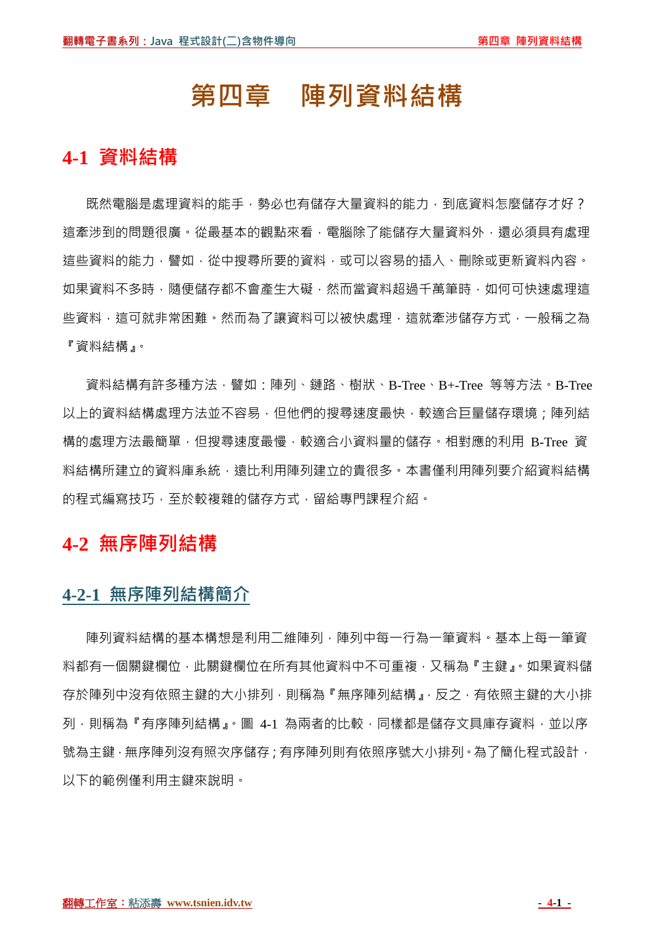# **第四章 陣列資料結構**

# **4-1 資料結構**

既然電腦是處理資料的能手,勢必也有儲存大量資料的能力,到底資料怎麼儲存才好? 這牽涉到的問題很廣。從最基本的觀點來看,電腦除了能儲存大量資料外,還必須具有處理 這些資料的能力,譬如,從中搜尋所要的資料,或可以容易的插入、刪除或更新資料內容。 如果資料不多時,隨便儲存都不會產生大礙,然而當資料超過千萬筆時,如何可快速處理這 些資料,這可就非常困難。然而為了讓資料可以被快處理,這就牽涉儲存方式,一般稱之為 『資料結構』。

資料結構有許多種方法,譬如:陣列、鏈路、樹狀、B-Tree、B+-Tree 等等方法。B-Tree 以上的資料結構處理方法並不容易,但他們的搜尋速度最快,較適合巨量儲存環境;陣列結 構的處理方法最簡單,但搜尋速度最慢,較適合小資料量的儲存。相對應的利用 B-Tree 資 料結構所建立的資料庫系統,遠比利用陣列建立的貴很多。本書僅利用陣列要介紹資料結構 的程式編寫技巧,至於較複雜的儲存方式,留給專門課程介紹。

# **4-2 無序陣列結構**

## **4-2-1 無序陣列結構簡介**

陣列資料結構的基本構想是利用二維陣列,陣列中每一行為一筆資料。基本上每一筆資 料都有一個關鍵欄位,此關鍵欄位在所有其他資料中不可重複,又稱為『主鍵』。如果資料儲 存於陣列中沒有依照主鍵的大小排列,則稱為『無序陣列結構』,反之,有依照主鍵的大小排 列,則稱為『有序陣列結構』。圖 4-1 為兩者的比較,同樣都是儲存文具庫存資料,並以序 號為主鍵,無序陣列沒有照次序儲存;有序陣列則有依照序號大小排列。為了簡化程式設計, 以下的範例僅利用主鍵來說明。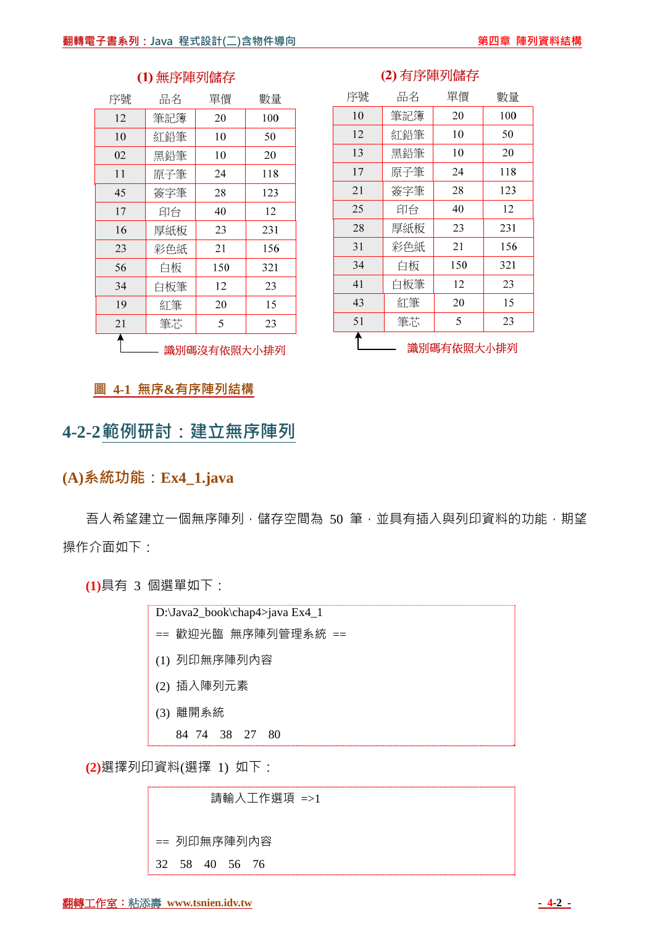| 序號 | 品名  | 單價  | 數量  |
|----|-----|-----|-----|
| 12 | 筆記簿 | 20  | 100 |
| 10 | 紅鉛筆 | 10  | 50  |
| 02 | 黑鉛筆 | 10  | 20  |
| 11 | 原子筆 | 24  | 118 |
| 45 | 簽字筆 | 28  | 123 |
| 17 | 印台  | 40  | 12  |
| 16 | 厚紙板 | 23  | 231 |
| 23 | 彩色紙 | 21  | 156 |
| 56 | 白板  | 150 | 321 |
| 34 | 白板筆 | 12  | 23  |
| 19 | 紅筆  | 20  | 15  |
| 21 | 筆芯  | 5   | 23  |
|    |     |     |     |

#### (1) 無序陣列儲存

### (2) 有序陣列儲存

| 序號 | 品名  | 單價         | 數量  |
|----|-----|------------|-----|
| 10 | 筆記簿 | 20         | 100 |
| 12 | 紅鉛筆 | 10         | 50  |
| 13 | 黑鉛筆 | 10         | 20  |
| 17 | 原子筆 | 24         | 118 |
| 21 | 簽字筆 | 28         | 123 |
| 25 | 印台  | 40         | 12  |
| 28 | 厚紙板 | 23         | 231 |
| 31 | 彩色紙 | 21         | 156 |
| 34 | 白板  | 150        | 321 |
| 41 | 白板筆 | 12         | 23  |
| 43 | 紅筆  | 20         | 15  |
| 51 | 筆芯  | 5          | 23  |
|    |     | 識別碼有依照大小排列 |     |

- 識別碼沒有依照大小排列

#### **圖 4-1 無序&有序陣列結構**

# **4-2-2範例研討:建立無序陣列**

## **(A)系統功能:Ex4\_1.java**

吾人希望建立一個無序陣列,儲存空間為 50 筆,並具有插入與列印資料的功能,期望 操作介面如下:

**(1)**具有 3 個選單如下:

| D:\Java2_book\chap4>java Ex4_1 |
|--------------------------------|
| == 歡迎光臨 無序陣列管理系統 ==            |
| (1) 列印無序陣列內容                   |
| (2) 插入陣列元素                     |
| (3) 離開系統                       |
| 84 74 38 27 80                 |

**(2)**選擇列印資料(選擇 1) 如下:

 請輸入工作選項 =>1 == 列印無序陣列內容 32 58 40 56 76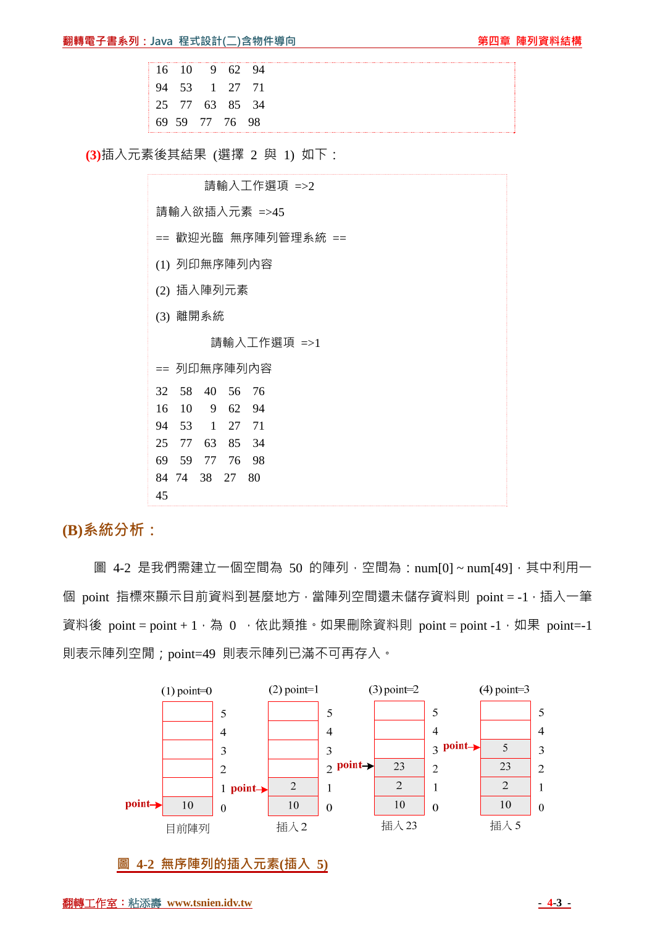|  | 16 10 9 62 94  |  |  |
|--|----------------|--|--|
|  | 94 53 1 27 71  |  |  |
|  | 25 77 63 85 34 |  |  |
|  | 69 59 77 76 98 |  |  |

**(3)**插入元素後其結果 (選擇 2 與 1) 如下:

 請輸入工作選項 =>2 請輸入欲插入元素 =>45 == 歡迎光臨 無序陣列管理系統 == (1) 列印無序陣列內容 (2) 插入陣列元素 (3) 離開系統 請輸入工作選項 =>1 == 列印無序陣列內容 32 58 40 56 76 16 10 9 62 94 94 53 1 27 71 25 77 63 85 34 69 59 77 76 98 84 74 38 27 80 45

**(B)系統分析:**

圖 4-2 是我們需建立一個空間為 50 的陣列,空間為: num[0]~num[49],其中利用一 個 point 指標來顯示目前資料到甚麼地方,當陣列空間還未儲存資料則 point = -1, 插入一筆 資料後 point = point + 1, 為 0, 依此類推。如果刪除資料則 point = point -1, 如果 point = -1 則表示陣列空閒;point=49 則表示陣列已滿不可再存入。



**圖 4-2 無序陣列的插入元素(插入 5)**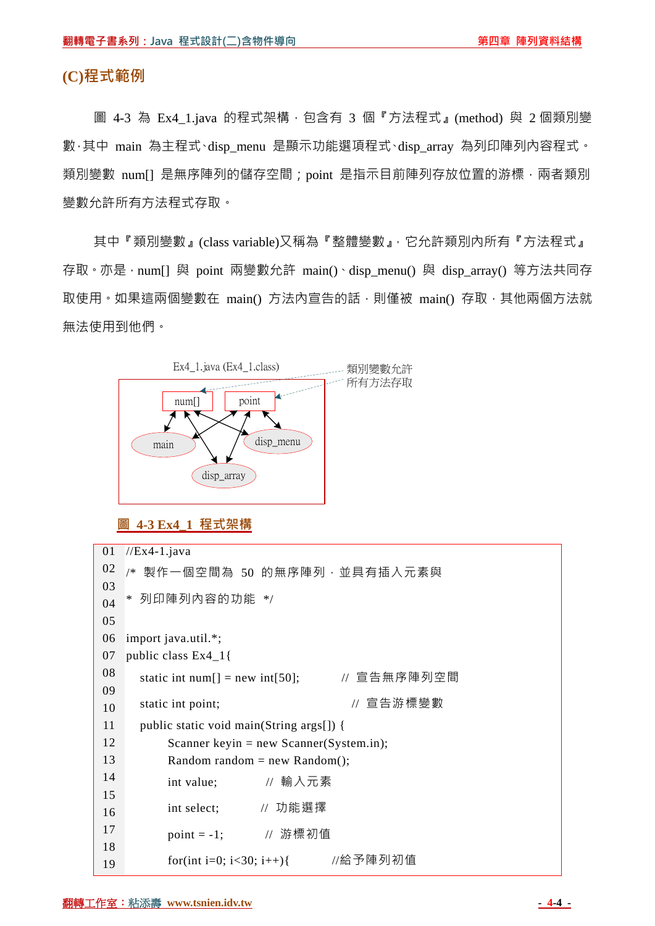#### **(C)程式範例**

圖 4-3 為 Ex4 1.java 的程式架構,包含有 3 個『方法程式』(method) 與 2 個類別變 數,其中 main 為主程式、disp\_menu 是顯示功能選項程式、disp\_array 為列印陣列內容程式。 類別變數 num[] 是無序陣列的儲存空間; point 是指示目前陣列存放位置的游標, 兩者類別 變數允許所有方法程式存取。

其中『類別變數』(class variable)又稱為『整體變數』,它允許類別內所有『方法程式』 存取。亦是,num[] 與 point 兩變數允許 main()、disp\_menu() 與 disp\_array() 等方法共同存 取使用。如果這兩個變數在 main() 方法內宣告的話,則僅被 main() 存取,其他兩個方法就 無法使用到他們。



**圖 4-3 Ex4\_1 程式架構**

```
01 
02 
03 
04 
05 
06 
07 
08 
09 
10 
11 
12 
13 
14 
15 
16 
17 
18 
19 
   //Ex4-1.java/* 製作一個空間為 50 的無序陣列,並具有插入元素與
   * 列印陣列內容的功能 */ 
   import java.util.*; 
   public class Ex4_1{ 
     static int num[] = new int[50]; \angle // 宣告無序陣列空間
     static int point; <br>
\blacksquare // 宣告游標變數
      public static void main(String args[]) { 
          Scanner keyin = new Scanner(System.in);
          Random random = new Random();
           int value; // 輸入元素
           int select; // 功能選擇
          point = -1; // 游標初值
           for(int i=0; i<30; i++){ //給予陣列初值
```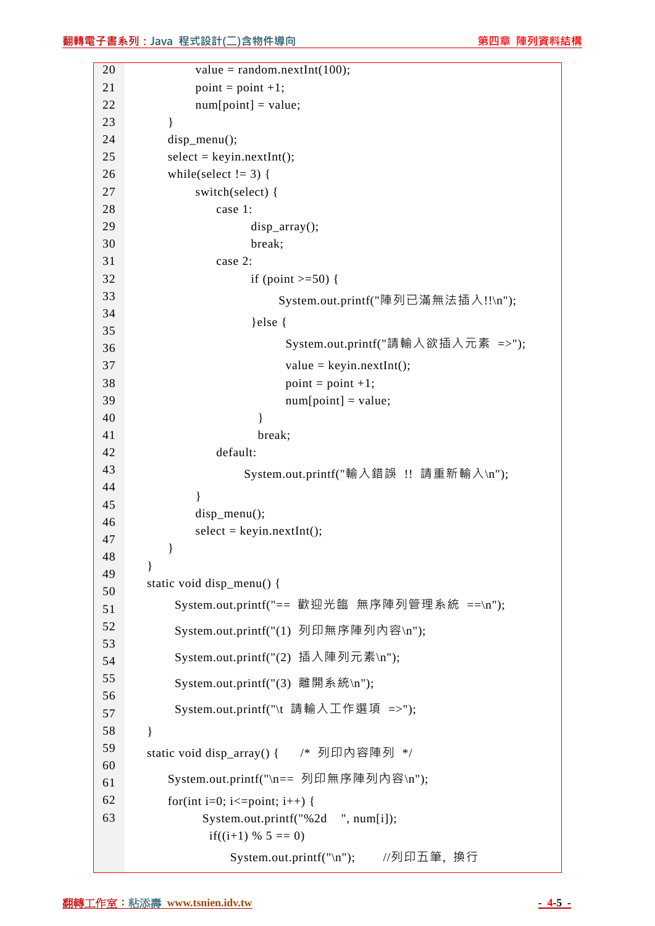| 20       | value = random.nextInt(100);                |
|----------|---------------------------------------------|
| 21       | $point = point +1;$                         |
| 22       | $num[point] = value;$                       |
| 23       | }                                           |
| 24       | disp_menu();                                |
| 25       | $select = keyin.nextInt();$                 |
| 26       | while(select $!= 3)$ {                      |
| 27       | switch(select) {                            |
| 28       | case 1:                                     |
| 29       | $disp_array()$ ;                            |
| 30       | break;                                      |
| 31       | case 2:                                     |
| 32       | if (point $>=50$ ) {                        |
| 33       | System.out.printf("陣列已滿無法插入!!\n");          |
| 34<br>35 | $\text{else }$                              |
| 36       | System.out.printf("請輸入欲插入元素 =>");           |
| 37       | $value = keyin.nextInt();$                  |
| 38       | $point = point +1;$                         |
| 39       | $num[point] = value;$                       |
| 40       | ∤                                           |
| 41       | break;                                      |
| 42       | default:                                    |
| 43       | System.out.printf("輸入錯誤 !! 請重新輸入\n");       |
| 44       | ∤                                           |
| 45       | $disp_mean()$ ;                             |
| 46       | $select = keyin.nextInt();$                 |
| 47       | }                                           |
| 48       | ∤                                           |
| 49       | static void disp_menu() {                   |
| 50       | System.out.printf("== 歡迎光臨 無序陣列管理系統 ==\n"); |
| 51<br>52 |                                             |
| 53       | System.out.printf("(1) 列印無序陣列內容\n");        |
| 54       | System.out.printf("(2) 插入陣列元素\n");          |
| 55       | System.out.printf("(3) 離開系統\n");            |
| 56       |                                             |
| 57       | System.out.printf("\t 請輸入工作選項 =>");         |
| 58       | $\mathcal{E}$                               |
| 59       | static void disp_array() { /* 列印內容陣列 */     |
| 60       |                                             |
| 61       | System.out.printf("\n== 列印無序陣列內容\n");       |
| 62       | for(int i=0; i $\le$ = point; i++) {        |
| 63       | System.out.printf("%2d ", num[i]);          |
|          | if((i+1) % $5 == 0$ )                       |
|          | //列印五筆, 换行<br>System.out.println("n");      |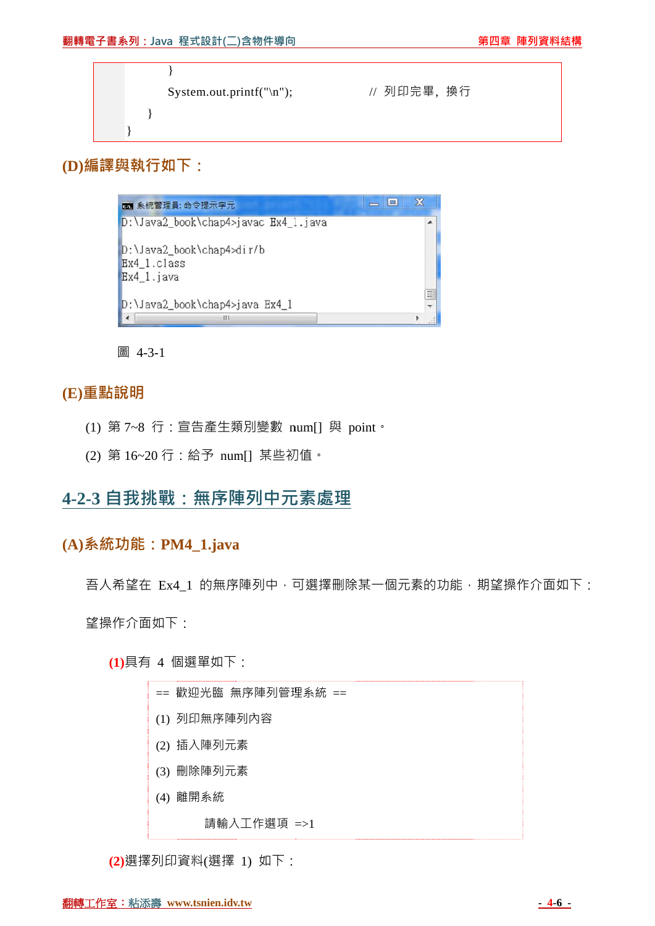| System.out.printf("\n"); | // 列印完畢,换行 |  |
|--------------------------|------------|--|
|                          |            |  |
|                          |            |  |

**(D)編譯與 與執行如下 下:**



圖 4-3-1

### **(E)重點說 說明**

- (1) 第 7~8 行:宣告產生類別變數 num[] 與 point。
- (2) 第 16~20 行:給予 num[] 某些初值。

## **4-2-3 自 自我挑戰 :無序陣 陣列中元 元素處理**

### **(A)系統功 功能:PM M4\_1.java a**

吾人希望在 Ex4\_1 的無序陣列中,可選擇刪除某一個元素的功能,期望操作介面如下:

望操作 作介面如下 :

**(1 1)**具有 4 個 個選單如下 :

| == 歡迎光臨 無序陣列管理系統 == |
|---------------------|
| (1) 列印無序陣列內容        |
| (2) 插入陣列元素          |
| (3) 刪除陣列元素          |
| (4) 離開系統            |
| 請輸入工作選項 =>1         |
|                     |

**(2 2)**選擇列印 資料(選擇 1) 如下: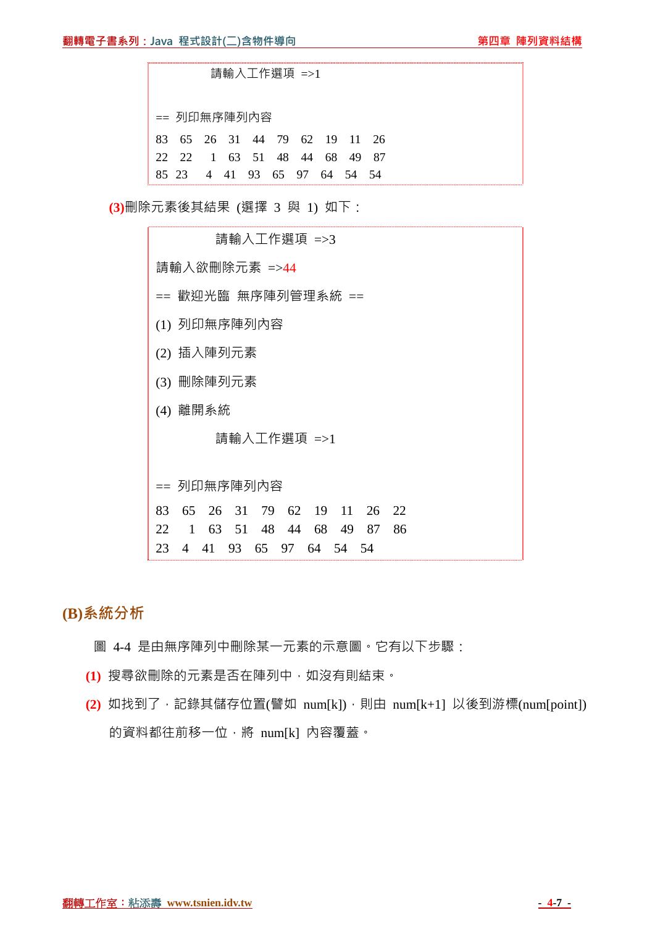請輸入工作選項 =>1

== 列印無序陣列內容

| 83 65 26 31 44 79 62 19 11 26 |  |  |  |  |
|-------------------------------|--|--|--|--|
| 22 22 1 63 51 48 44 68 49 87  |  |  |  |  |
| 85 23 4 41 93 65 97 64 54 54  |  |  |  |  |

**(3)**刪除元素後其結果 (選擇 3 與 1) 如下:

| 請輸入工作選項 =>3                                        |
|----------------------------------------------------|
| 請輸入欲刪除元素 =>44                                      |
| == 歡迎光臨 無序陣列管理系統 ==                                |
| (1) 列印無序陣列內容                                       |
| (2) 插入陣列元素                                         |
| 刪除陣列元素<br>(3)                                      |
| (4) 離開系統                                           |
| 請輸入工作選項 =>1                                        |
|                                                    |
| == 列印無序陣列內容                                        |
| 65 26 31 79 62 19 11 26 22<br>83                   |
| 63 51 48<br>68<br>86<br>22.<br>1<br>44<br>49<br>87 |
| 65<br>23<br>41<br>93<br>64<br>54 54<br>97.<br>4    |

**(B)系統分析**

圖 4-4 是由無序陣列中刪除某一元素的示意圖。它有以下步驟:

- **(1)** 搜尋欲刪除的元素是否在陣列中,如沒有則結束。
- (2) 如找到了,記錄其儲存位置(譬如 num[k]),則由 num[k+1] 以後到游標(num[point]) 的資料都往前移一位,將 num[k] 內容覆蓋。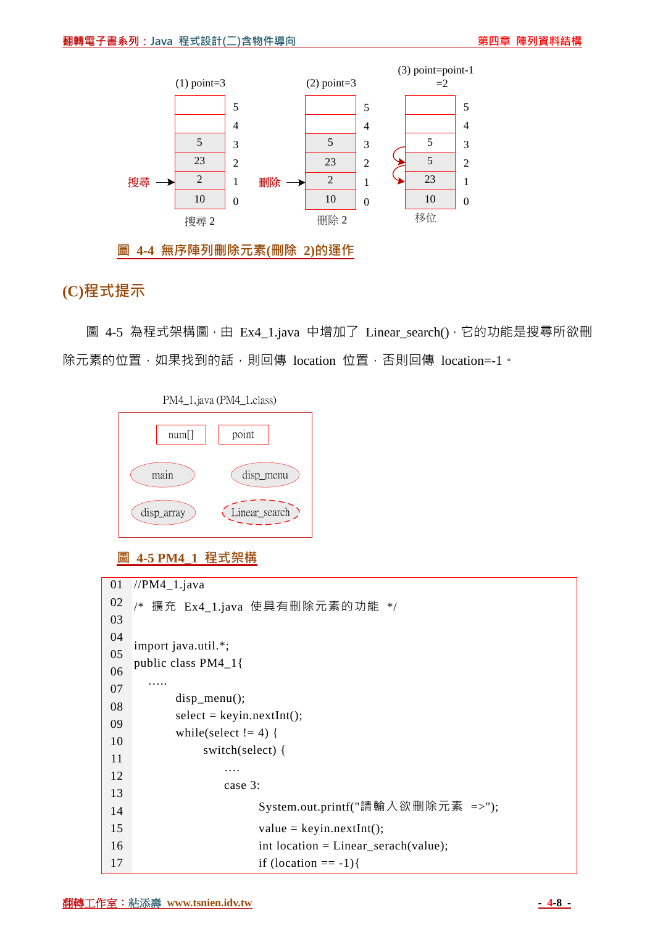

**圖 4-4 無序陣列刪除元素(刪除 2)的運作**

## **(C)程式提示**

圖 4-5 為程式架構圖,由 Ex4\_1.java 中增加了 Linear\_search(),它的功能是搜尋所欲刪 除元素的位置,如果找到的話,則回傳 location 位置,否則回傳 location=-1。



#### **圖 4-5 PM4\_1 程式架構**

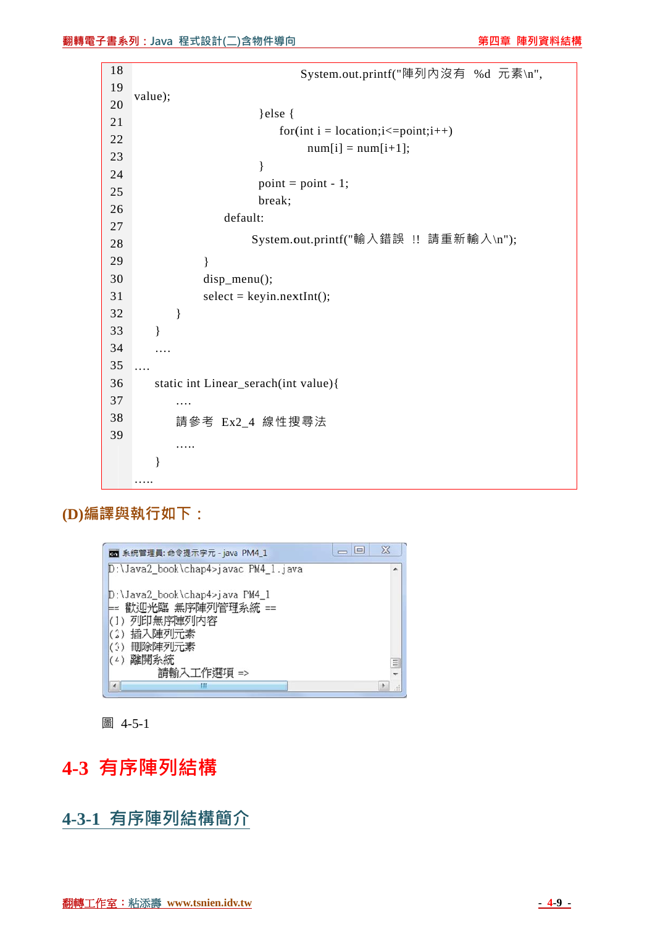|         | 書系列:Java 程式設計(二)含物件導向<br>第四章 陣列資料                       |
|---------|---------------------------------------------------------|
|         |                                                         |
| 18      | System.out.printf("陣列內沒有 %d 元素\n",                      |
| 19      | value);                                                 |
| 20      | }else {                                                 |
| 21      | for(int i = location; $i \le$ =point; $i$ ++)           |
| 22      | $num[i] = num[i+1];$                                    |
| 23      | ł                                                       |
| 24      | $point = point - 1;$                                    |
| 25      | break;                                                  |
| 26      | default:                                                |
| 27      |                                                         |
| 28      | System.out.printf("輸入錯誤 !! 請重新輸入\n");                   |
| 29      | ł                                                       |
| 30      | disp_menu();                                            |
| 31      | $select = keyin.nextInt();$                             |
| 32      | }                                                       |
| 33      | $\}$                                                    |
| 34      |                                                         |
| 35      |                                                         |
| 36      | static int Linear_serach(int value){                    |
| 37      |                                                         |
| 38      | 請參考 Ex2_4 線性搜尋法                                         |
| 39      |                                                         |
|         | }                                                       |
|         |                                                         |
|         |                                                         |
|         |                                                         |
|         |                                                         |
|         | $\chi$<br>$\Box$ $\Box$<br>图 系統管理員: 命令提示字元 - java PM4_1 |
|         | D:\Java2_book\chap4>javac PM4_1.java                    |
|         |                                                         |
| ⊨=      | D:\Java2_book\chap4>java PM4_1<br>歡迎光臨 無序陣列管理系統 ==      |
|         | (1) 列印無序陣列内容                                            |
|         | (2) 插入陣列元素                                              |
| (3)     | 刪除陣列元素<br>(4) 離開系統                                      |
|         | Ξ<br>請輸入工作選項 =>                                         |
| ٠       | Ш<br>÷                                                  |
|         |                                                         |
| 圖 4-5-1 |                                                         |
|         |                                                         |
|         | 有序陣列結構                                                  |
|         |                                                         |
|         |                                                         |
|         | 有序陣列結構簡介                                                |

**(D)編譯與 與執行如下 下:**



# **4-3 有 序陣列 結構**

**4-3-1 有 有序陣列 列結構簡介**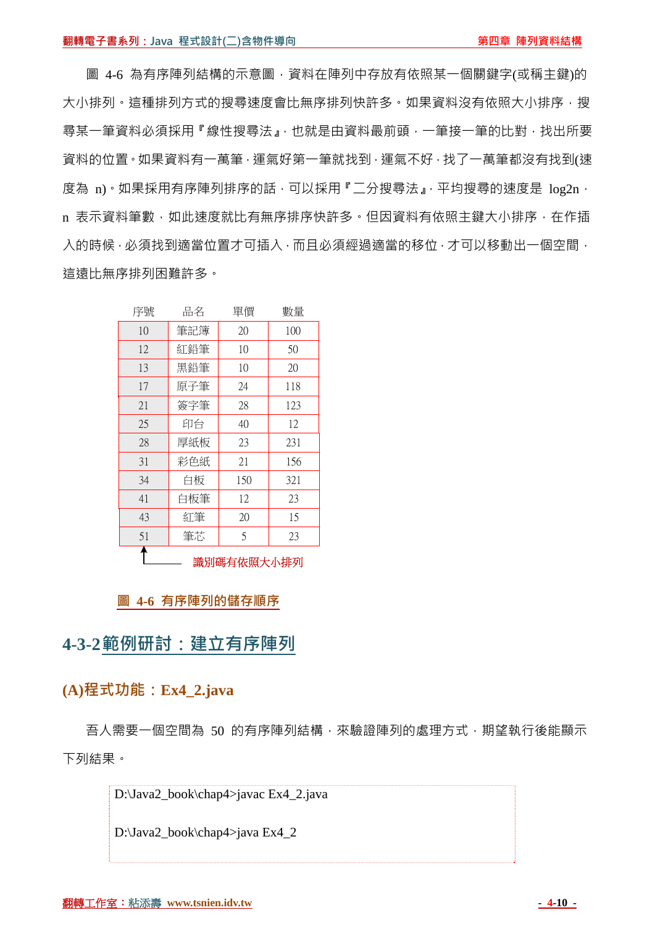圖 4-6 為有序陣列結構的示意圖,資料在陣列中存放有依照某一個關鍵字(或稱主鍵)的 大小排列。這種排列方式的搜尋速度會比無序排列快許多。如果資料沒有依照大小排序,搜 尋某一筆資料必須採用『線性搜尋法』,也就是由資料最前頭,一筆接一筆的比對,找出所要 資料的位置。如果資料有一萬筆,運氣好第一筆就找到,運氣不好,找了一萬筆都沒有找到(速 度為 n)。如果採用有序陣列排序的話,可以採用『二分搜尋法』,平均搜尋的速度是 log2n, n 表示資料筆數,如此速度就比有無序排序快許多。但因資料有依照主鍵大小排序,在作插 入的時候,必須找到適當位置才可插入,而且必須經過適當的移位,才可以移動出一個空間, 這遠比無序排列困難許多。

| 序號 | 品名  | 單價         | 數量  |
|----|-----|------------|-----|
| 10 | 筆記簿 | 20         | 100 |
| 12 | 紅鉛筆 | 10         | 50  |
| 13 | 黑鉛筆 | 10         | 20  |
| 17 | 原子筆 | 24         | 118 |
| 21 | 簽字筆 | 28         | 123 |
| 25 | 印台  | 40         | 12  |
| 28 | 厚紙板 | 23         | 231 |
| 31 | 彩色紙 | 21         | 156 |
| 34 | 白板  | 150        | 321 |
| 41 | 白板筆 | 12         | 23  |
| 43 | 紅筆  | 20         | 15  |
| 51 | 筆芯  | 5          | 23  |
|    |     | 識別碼有依照大小排列 |     |

#### **圖 4-6 有序陣列的儲存順序**

## **4-3-2範例研討:建立有序陣列**

## **(A)程式功能:Ex4\_2.java**

吾人需要一個空間為 50 的有序陣列結構,來驗證陣列的處理方式,期望執行後能顯示 下列結果。

D:\Java2\_book\chap4>javac Ex4\_2.java

D:\Java2\_book\chap4>java Ex4\_2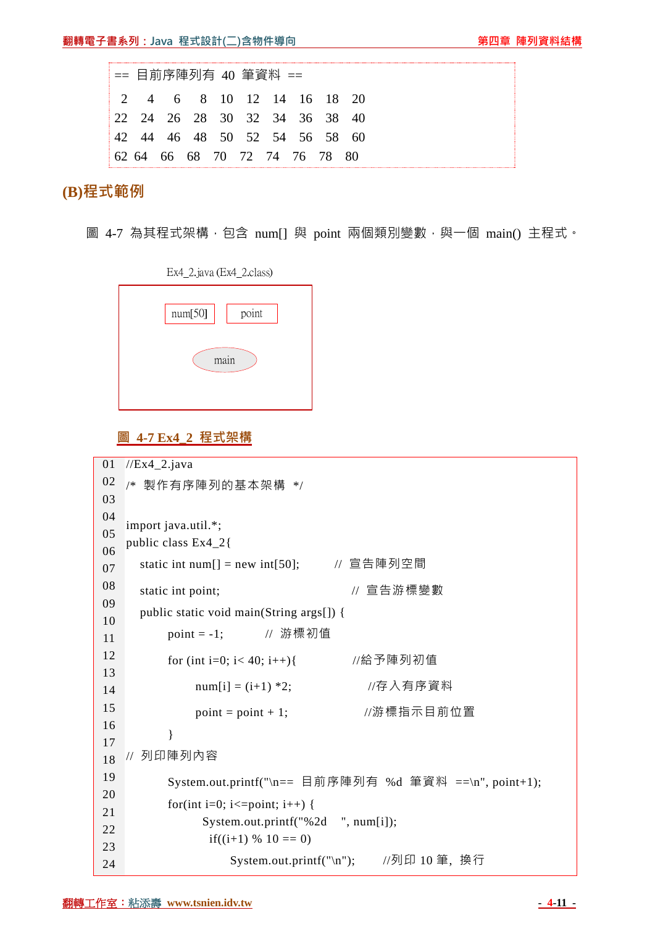|  | == 目前序陣列有 40 筆資料 ==           |  |  |  |
|--|-------------------------------|--|--|--|
|  | 2 4 6 8 10 12 14 16 18 20     |  |  |  |
|  | 22 24 26 28 30 32 34 36 38 40 |  |  |  |
|  | 42 44 46 48 50 52 54 56 58 60 |  |  |  |
|  | 62 64 66 68 70 72 74 76 78 80 |  |  |  |

**(B)程式範例**

圖 4-7 為其程式架構, 包含 num[] 與 point 兩個類別變數, 與一個 main() 主程式。

|         | EX4_2.Java (EX4_2.CIaSS) |  |
|---------|--------------------------|--|
| num[50] | point                    |  |
|         | main                     |  |
|         |                          |  |

 $E_{x}$  2 jove  $(E_{x}$  2 close)

#### **圖 4-7 Ex4\_2 程式架構**

```
01 
//Ex4_2.java 
02 
03 
04 
05 
06 
07 
08 
09 
10 
11 
12 
13 
14 
15 
16 
17 
18 
19 
20 
21 
22 
23 
24 
   /* 製作有序陣列的基本架構 */ 
   import java.util.*; 
   public class Ex4_2{ 
      static int num[] = new int[50]; // 宣告陣列空間
      static int point; <br>
\blacksquare // 宣告游標變數
       public static void main(String args[]) { 
          point = -1; // 游標初值
           for (int i=0; i< 40; i++){ //給予陣列初值
               num[i] = (i+1) *2; //存入有序資料
               point = point + 1; \angle //游標指示目前位置
           } 
   // 列印陣列內容 
           System.out.printf("\n== 目前序陣列有 %d 筆資料 ==\n", point+1); 
          for(int i=0; i \le=point; i++) {
                 System.out.printf("%2d ", num[i]); 
                 if((i+1) % 10 == 0)
                     System.out.printf("\n"); //列印 10 筆, 換行
```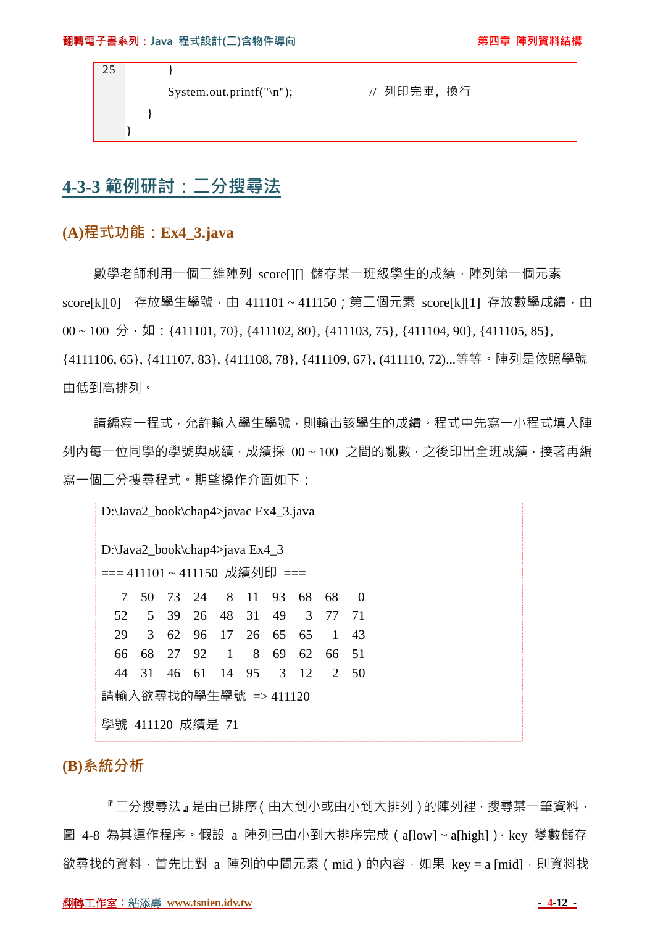| 25 |  |                          |             |  |
|----|--|--------------------------|-------------|--|
|    |  | System.out.printf("\n"); | // 列印完畢, 换行 |  |
|    |  |                          |             |  |
|    |  |                          |             |  |

# **4-3-3 範例研討:二分搜尋法**

#### **(A)程式功能:Ex4\_3.java**

數學老師利用一個二維陣列 score[1[] 儲存某一班級學生的成績,陣列第一個元素 score[k][0] 存放學生學號,由 411101~411150;第二個元素 score[k][1] 存放數學成績,由  $00 \sim 100 \div \text{ln}$ : {411101, 70}, {411102, 80}, {411103, 75}, {411104, 90}, {411105, 85}, {4111106, 65}, {411107, 83}, {411108, 78}, {411109, 67}, (411110, 72)...等等。陣列是依照學號 由低到高排列。

請編寫一程式,允許輸入學生學號,則輸出該學生的成績。程式中先寫一小程式填入陣 列內每一位同學的學號與成績,成績採 00~100 之間的亂數,之後印出全班成績,接著再編 寫一個二分搜尋程式。期望操作介面如下:

D:\Java2\_book\chap4>javac Ex4\_3.java D:\Java2\_book\chap4>java Ex4\_3 === 411101~411150 成績列印 === 7 50 73 24 8 11 93 68 68 0 52 5 39 26 48 31 49 3 77 71 29 3 62 96 17 26 65 65 1 43 66 68 27 92 1 8 69 62 66 51 44 31 46 61 14 95 3 12 2 50 請輸入欲尋找的學生學號 => 411120 學號 411120 成績是 71

### **(B)系統分析**

『二分搜尋法』是由已排序(由大到小或由小到大排列)的陣列裡,搜尋某一筆資料, 圖 4-8 為其運作程序。假設 a 陣列已由小到大排序完成 ( a[low] ~ a[high] ) · key 變數儲存 欲尋找的資料, 首先比對 a 陣列的中間元素 (mid)的內容, 如果 key = a [mid], 則資料找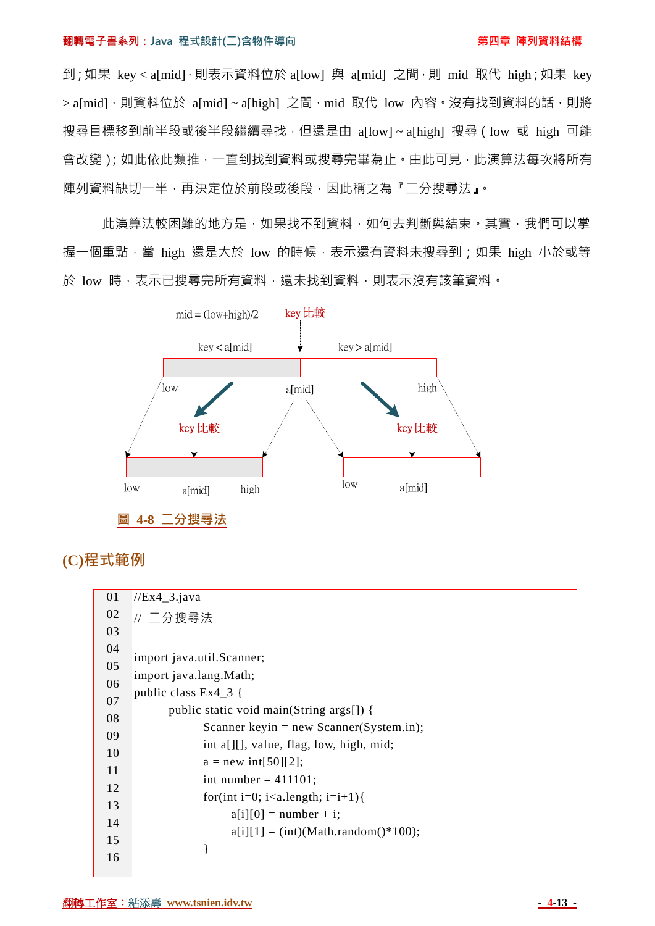到;如果 key < a[mid],則表示資料位於 a[low] 與 a[mid] 之間,則 mid 取代 high;如果 key > a[mid], 則資料位於 a[mid] ~ a[high] 之間, mid 取代 low 內容。沒有找到資料的話, 則將 搜尋目標移到前半段或後半段繼續尋找,但還是由 a[low]~a[high] 搜尋 (low 或 high 可能 會改變);如此依此類推,一直到找到資料或搜尋完畢為止。由此可見,此演算法每次將所有 陣列資料缺切一半,再決定位於前段或後段,因此稱之為『二分搜尋法』。

此演算法較困難的地方是,如果找不到資料,如何去判斷與結束。其實,我們可以掌 握一個重點,當 high 還是大於 low 的時候,表示還有資料未搜尋到;如果 high 小於或等 於 low 時,表示已搜尋完所有資料,還未找到資料,則表示沒有該筆資料。



### **(C)程式範例**

| 01                                     | $//Ex4_3.java$                                                                                                                                                                                                                           |
|----------------------------------------|------------------------------------------------------------------------------------------------------------------------------------------------------------------------------------------------------------------------------------------|
| 02                                     | // 二分搜尋法                                                                                                                                                                                                                                 |
| 03                                     |                                                                                                                                                                                                                                          |
| 04<br>05<br>06<br>07<br>08<br>09<br>10 | import java.util.Scanner;<br>import java.lang.Math;<br>public class $Ex4_3$ {<br>public static void main(String args[]) {<br>Scanner keyin = new Scanner(System.in);<br>int a[][], value, flag, low, high, mid;<br>$a = new int[50][2];$ |
| 11<br>12<br>13<br>14<br>15<br>16       | int number = $411101$ ;<br>for(int i=0; i <a.length; i="i+1){&lt;br"><math>a[i][0] = number + i;</math><br/><math>a[i][1] = (int)(Math.random(*)100);</math><br/>}</a.length;>                                                           |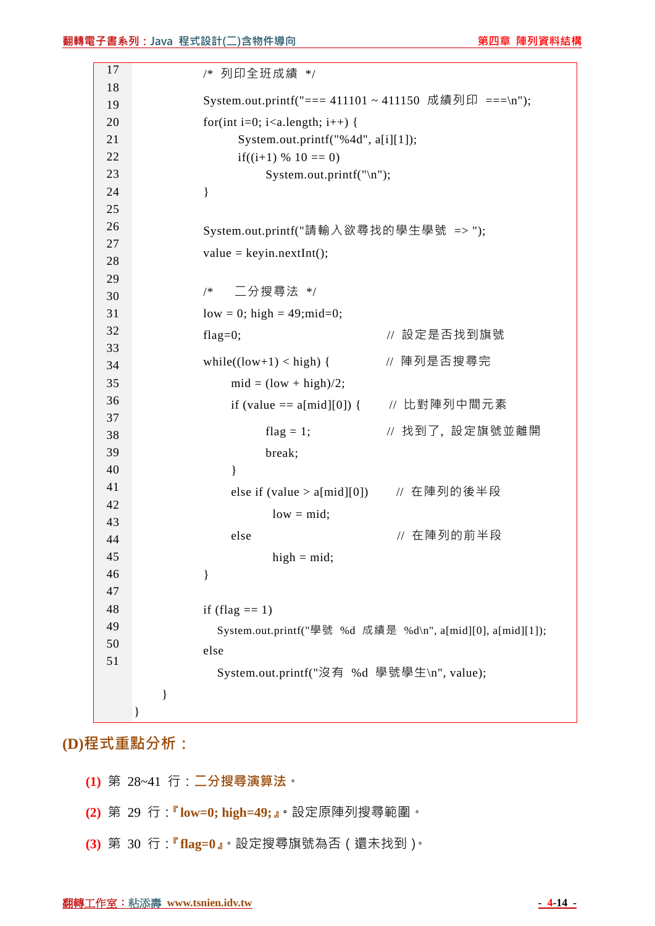| 17       | /* 列印全班成績 */                                                 |  |  |  |  |  |  |
|----------|--------------------------------------------------------------|--|--|--|--|--|--|
| 18       | System.out.printf("=== 411101 ~ 411150 成績列印 ===\n");         |  |  |  |  |  |  |
| 19<br>20 | for(int i=0; i <a.length; i++)="" td="" {<=""></a.length;>   |  |  |  |  |  |  |
| 21       | System.out.printf("%4d", a[i][1]);                           |  |  |  |  |  |  |
| 22       | if((i+1) % $10 == 0$ )                                       |  |  |  |  |  |  |
| 23       | System.out.printf("\n");                                     |  |  |  |  |  |  |
| 24       | }                                                            |  |  |  |  |  |  |
| 25       |                                                              |  |  |  |  |  |  |
| 26       | System.out.printf("請輸入欲尋找的學生學號 =>");                         |  |  |  |  |  |  |
| 27       |                                                              |  |  |  |  |  |  |
| 28       | $value = keyin.nextInt();$                                   |  |  |  |  |  |  |
| 29       |                                                              |  |  |  |  |  |  |
| 30       | 二分搜尋法 */<br>$/*$                                             |  |  |  |  |  |  |
| 31       | $low = 0$ ; high = 49; mid=0;                                |  |  |  |  |  |  |
| 32       | // 設定是否找到旗號<br>flag= $0;$                                    |  |  |  |  |  |  |
| 33       |                                                              |  |  |  |  |  |  |
| 34       | // 陣列是否搜尋完<br>while( $\left( \text{low+1} \right)$ < high) { |  |  |  |  |  |  |
| 35       | $mid = (low + high)/2;$                                      |  |  |  |  |  |  |
| 36       | // 比對陣列中間元素<br>if (value == $a[\text{mid}][0]$ ) {           |  |  |  |  |  |  |
| 37<br>38 | // 找到了,設定旗號並離開<br>flag = 1;                                  |  |  |  |  |  |  |
| 39       | break;                                                       |  |  |  |  |  |  |
| 40       | }                                                            |  |  |  |  |  |  |
| 41       |                                                              |  |  |  |  |  |  |
| 42       | // 在陣列的後半段<br>else if (value $>$ a[mid][0])                  |  |  |  |  |  |  |
| 43       | $low = mid;$                                                 |  |  |  |  |  |  |
| 44       | 在陣列的前半段<br>else<br>$\frac{1}{2}$                             |  |  |  |  |  |  |
| 45       | $high = mid;$                                                |  |  |  |  |  |  |
| 46       | }                                                            |  |  |  |  |  |  |
| 47       |                                                              |  |  |  |  |  |  |
| 48       | if (flag $== 1$ )                                            |  |  |  |  |  |  |
| 49       | System.out.printf("學號 %d 成績是 %d\n", a[mid][0], a[mid][1]);   |  |  |  |  |  |  |
| 50       | else                                                         |  |  |  |  |  |  |
| 51       | System.out.printf("沒有 %d 學號學生\n", value);                    |  |  |  |  |  |  |
|          |                                                              |  |  |  |  |  |  |
|          | }<br>}                                                       |  |  |  |  |  |  |
|          |                                                              |  |  |  |  |  |  |

**(D)程式重點分析:**

- **(1)** 第 28~41 行:**二分搜尋演算法**。
- **(2)** 第 29 行:**『low=0; high=49;』。**設定原陣列搜尋範圍。
- **(3)** 第 30 行:**『flag=0』**。設定搜尋旗號為否(還未找到)。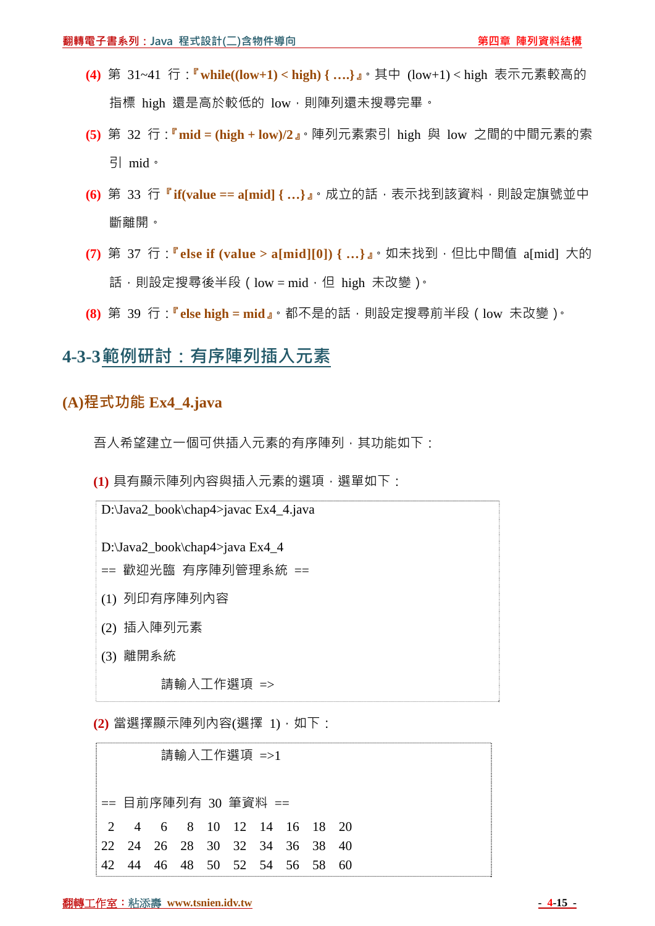- **(4)** 第 31~41 行:**『while((low+1) < high) { ….}』**。其中 (low+1) < high 表示元素較高的 指標 high 還是高於較低的 low,則陣列還未搜尋完畢。
- **(5)** 第 32 行:**『mid = (high + low)/2』**。陣列元素索引 high 與 low 之間的中間元素的索 引 mid。
- **(6)** 第 33 行**『if(value == a[mid] { …}』**。成立的話,表示找到該資料,則設定旗號並中 斷離開。
- **(7)** 第 37 行:**『else if (value > a[mid][0]) { …}』**。如未找到,但比中間值 a[mid] 大的 話,則設定搜尋後半段 (low = mid, 但 high 未改變)。
- **(8)** 第 39 行:**『else high = mid』**。都不是的話,則設定搜尋前半段(low 未改變)。

## **4-3-3範例研討:有序陣列插入元素**

#### **(A)程式功能 Ex4\_4.java**

吾人希望建立一個可供插入元素的有序陣列,其功能如下:

**(1)** 具有顯示陣列內容與插入元素的選項,選單如下:

D:\Java2\_book\chap4>javac Ex4\_4.java D:\Java2\_book\chap4>java Ex4\_4 == 歡迎光臨 有序陣列管理系統 == (1) 列印有序陣列內容 (2) 插入陣列元素 (3) 離開系統 請輸入工作選項 =>

**(2)** 當選擇顯示陣列內容(選擇 1),如下:

|     |                               |  | 請輸入工作選項 =>1 |                         |  |
|-----|-------------------------------|--|-------------|-------------------------|--|
|     | == 目前序陣列有 30 筆資料 ==           |  |             |                         |  |
|     | 2 4 6 8 10 12 14 16 18 20     |  |             |                         |  |
|     | 22 24 26 28 30 32 34 36 38 40 |  |             |                         |  |
| 42. | 44                            |  |             | 46 48 50 52 54 56 58 60 |  |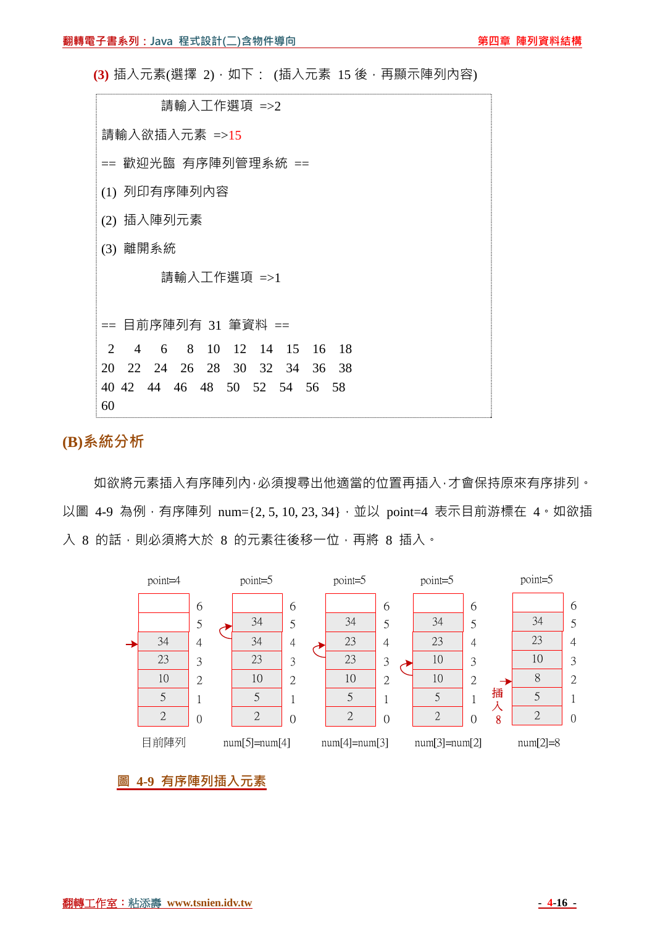**(3)** 插入元素(選擇 2), 如下: (插入元素 15 後, 再顯示陣列內容)

| 請輸入工作選項 =>2 |                                                    |  |  |  |  |  |  |
|-------------|----------------------------------------------------|--|--|--|--|--|--|
|             | 請輸入欲插入元素 =>15                                      |  |  |  |  |  |  |
|             | == 歡迎光臨 有序陣列管理系統 ==                                |  |  |  |  |  |  |
|             | (1) 列印有序陣列內容                                       |  |  |  |  |  |  |
|             | (2) 插入陣列元素                                         |  |  |  |  |  |  |
|             | (3) 離開系統                                           |  |  |  |  |  |  |
|             | 請輸入工作選項 =>1                                        |  |  |  |  |  |  |
|             |                                                    |  |  |  |  |  |  |
|             | == 目前序陣列有 31 筆資料 ==                                |  |  |  |  |  |  |
|             | 8 10 12 14 15 16<br>2 4<br>$6\overline{6}$<br>- 18 |  |  |  |  |  |  |
|             | 26 28<br>30 32<br>20<br>22 24<br>34<br>36<br>38    |  |  |  |  |  |  |
|             | 40 42 44 46 48 50 52 54 56 58                      |  |  |  |  |  |  |
|             | 60                                                 |  |  |  |  |  |  |

# **(B)系統分析**

如欲將元素插入有序陣列內,必須搜尋出他適當的位置再插入,才會保持原來有序排列。 以圖 4-9 為例, 有序陣列 num={2,5,10,23,34},並以 point=4 表示目前游標在 4。如欲插 入 8 的話,則必須將大於 8 的元素往後移一位,再將 8 插入。



#### **圖 4-9 有序陣列插入元素**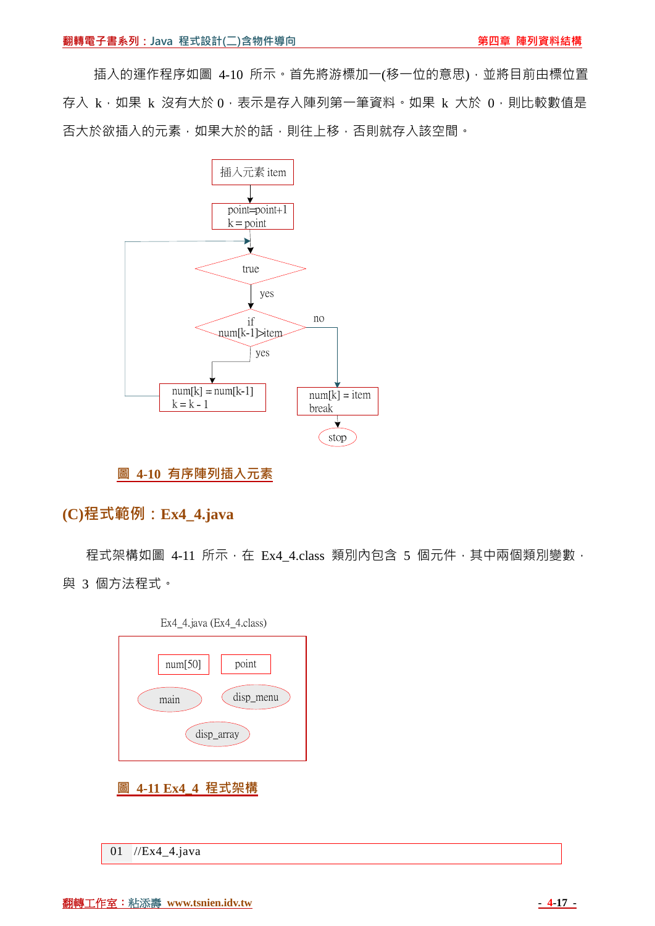插入的運作程序如圖 4-10 所示。首先將游標加一(移一位的意思),並將目前由標位置 存入 k,如果 k 沒有大於 0, 表示是存入陣列第一筆資料。如果 k 大於 0,則比較數值是 否大於欲插入的元素,如果大於的話,則往上移,否則就存入該空間。



#### **圖 4-10 有序陣列插入元素**

### **(C)程式範例:Ex4\_4.java**

程式架構如圖 4-11 所示, 在 Ex4 4.class 類別內包含 5 個元件, 其中兩個類別變數, 與 3 個方法程式。



```
01 //Ex4_4.java
```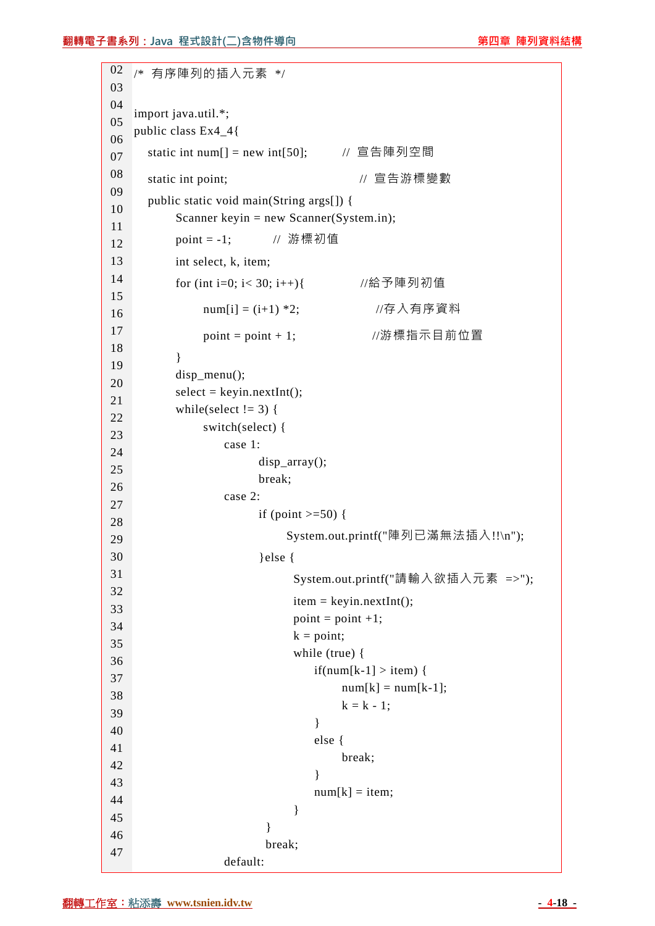```
02 
03 
04 
05 
06 
07 
08 
09 
10 
11 
12 
13 
14 
15 
16 
17 
18 
19 
20 
21 
22 
23 
24 
25 
26 
27 
28 
29 
30 
31 
32 
33 
34 
35 
36 
37 
38 
39 
40 
41 
42 
43 
44 
45 
46 
47 
   /* 有序陣列的插入元素 */ 
   import java.util.*; 
   public class Ex4_4{ 
      static int num[ ] = new int[50]; // 宣告陣列空間
      static int point; <br>
\blacksquare // 宣告游標變數
       public static void main(String args[]) { 
           Scanner keyin = new Scanner(System.in); 
          point = -1; // 游標初值
           int select, k, item; 
           for (int i=0; i< 30; i++){ //給予陣列初值
               num[i] = (i+1) *2; //存入有序資料
               point = point + 1; //游標指示目前位置
           } 
          disp_menu();
          select = keyin.nextInt();while(select != 3) {
                switch(select) { 
                   case 1: 
                         disp_array(); 
                         break; 
                   case 2: 
                        if (point >=50) {
                             System.out.printf("陣列已滿無法插入!!\n"); 
                         }else { 
                              System.out.printf("請輸入欲插入元素 =>"); 
                             item = keyin.nextInt();point = point +1;k = point; while (true) { 
                                 if(num[k-1] > item) {
                                     num[k] = num[k-1];k = k - 1:
     } 
                                  else { 
                                      break; 
     } 
                                 num[k] = item; } 
     } 
                          break; 
                   default:
```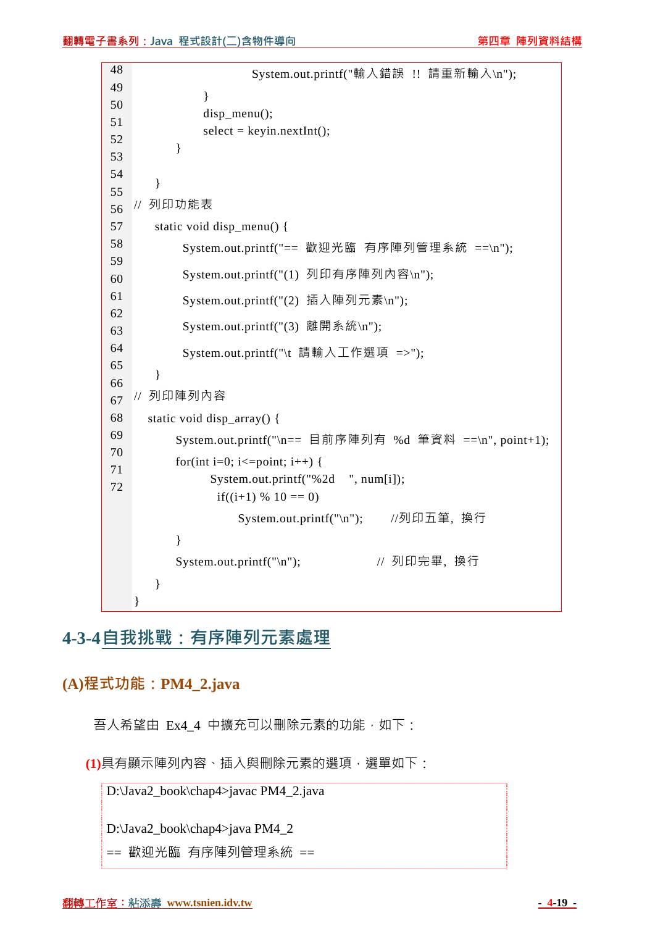```
48 
49 
50 
51 
52 
53 
54 
55 
56 
57 
58 
59 
60 
61 
62 
63 
64 
65 
66 
67 
68 
69 
70 
71 
72 
                         System.out.printf("輸入錯誤 !! 請重新輸入\n"); 
                 } 
                 disp_menu(); 
                select = keyin.nextInt(); } 
        } 
    // 列印功能表
        static void disp_menu() { 
             System.out.printf("== 歡迎光臨 有序陣列管理系統 ==\n"); 
             System.out.printf("(1) 列印有序陣列內容\n"); 
             System.out.printf("(2) 插入陣列元素\n"); 
             System.out.printf("(3) 離開系統\n"); 
             System.out.printf("\t 請輸入工作選項 =>"); 
         } 
    // 列印陣列內容
       static void disp_array() { 
            System.out.printf("\n== 目前序陣列有 %d 筆資料 ==\n", point+1); 
           for(int i=0; i \le =point; i++) {
                 System.out.printf("%2d ", num[i]);
                  if((i+1) % 10 == 0)
                       System.out.printf("\n"); //列印五筆, 換行
            } 
           System.out.printf("\n"); // 列印完畢, 換行
        } 
    }
```
# **4-3-4自我挑戰:有序陣列元素處理**

## **(A)程式功能:PM4\_2.java**

吾人希望由 Ex4 4 中擴充可以刪除元素的功能, 如下:

**(1)**具有顯示陣列內容、插入與刪除元素的選項,選單如下:

D:\Java2\_book\chap4>javac PM4\_2.java

D:\Java2\_book\chap4>java PM4\_2

== 歡迎光臨 有序陣列管理系統 ==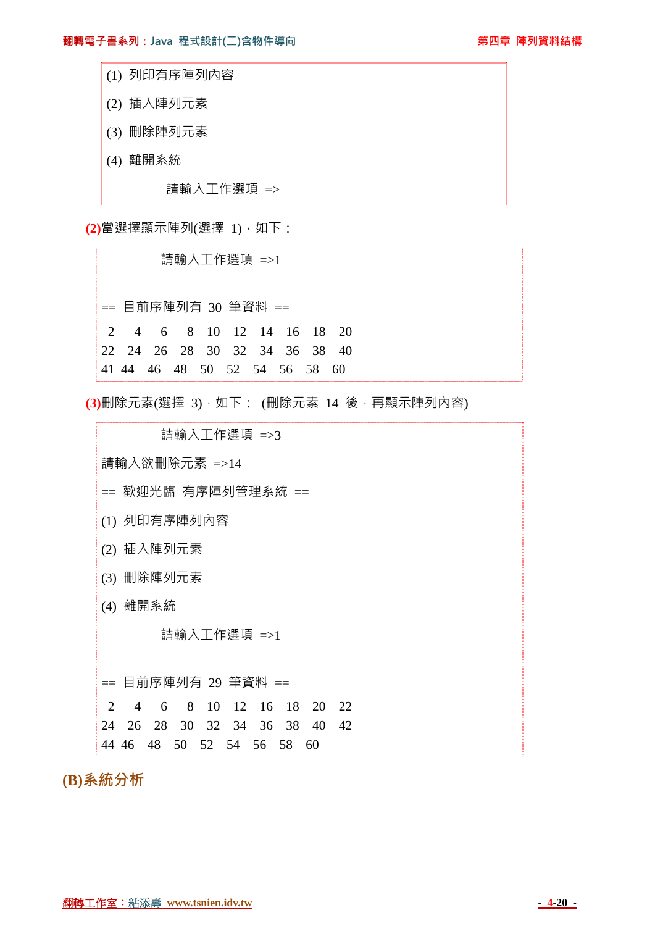- (1) 列印有序陣列內容
- (2) 插入陣列元素
- (3) 刪除陣列元素
- (4) 離開系統

請輸入工作選項 =>

**(2)**當選擇顯示陣列(選擇 1),如下:

 請輸入工作選項 =>1 == 目前序陣列有 30 筆資料 == 2 4 6 8 10 12 14 16 18 20 22 24 26 28 30 32 34 36 38 40 41 44 46 48 50 52 54 56 58 60

**(3)**刪除元素(選擇 3),如下: (刪除元素 14 後,再顯示陣列內容)

 請輸入工作選項 =>3 請輸入欲刪除元素 =>14 == 歡迎光臨 有序陣列管理系統 == (1) 列印有序陣列內容 (2) 插入陣列元素 (3) 刪除陣列元素 (4) 離開系統 請輸入工作選項 =>1 == 目前序陣列有 29 筆資料 == 2 4 6 8 10 12 16 18 20 22 24 26 28 30 32 34 36 38 40 42 44 46 48 50 52 54 56 58 60

**(B)系統分析**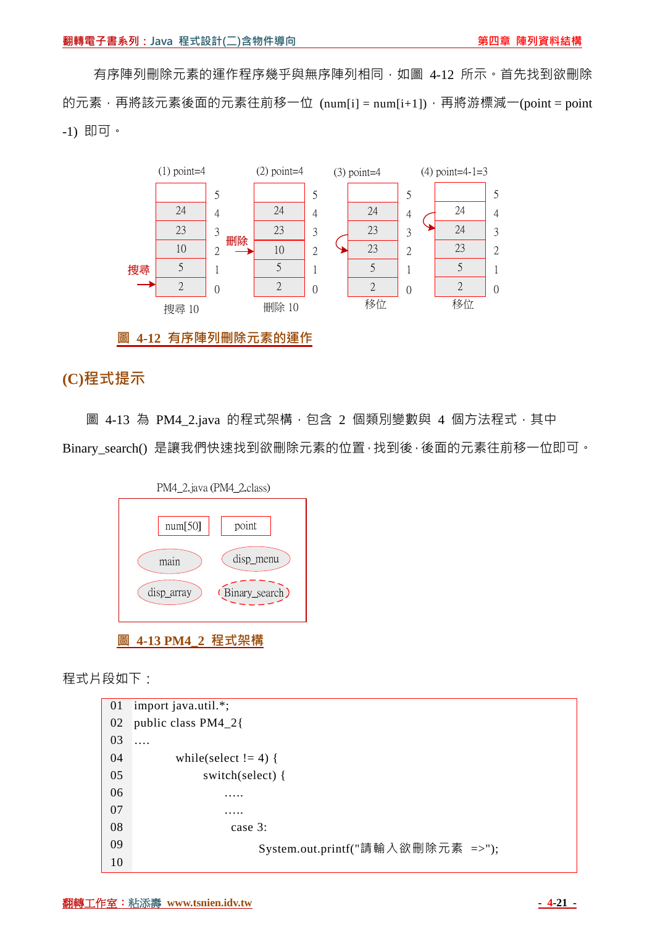有序陣列刪除元素的運作程序幾乎與無序陣列相同,如圖 4-12 所示。首先找到欲刪除 的元素,再將該元素後面的元素往前移一位  $(num[i] = num[i+1])$ ,再將游標減一 $(point = point$ -1) 即可。



**圖 4-12 有序陣列刪除元素的運作**

## **(C)程式提示**

圖 4-13 為 PM4\_2.java 的程式架構, 包含 2 個類別變數與 4 個方法程式, 其中 Binary\_search() 是讓我們快速找到欲刪除元素的位置,找到後,後面的元素往前移一位即可。



程式片段如下:

```
01 
import java.util.*; 
02 
public class PM4_2{ 
03 
04 
05 
06 
07 
08 
09 
10 
   …. 
           while(select != 4) {
                 switch(select) { 
     ….. 
                     ….. 
                      case 3: 
                           System.out.printf("請輸入欲刪除元素 =>");
```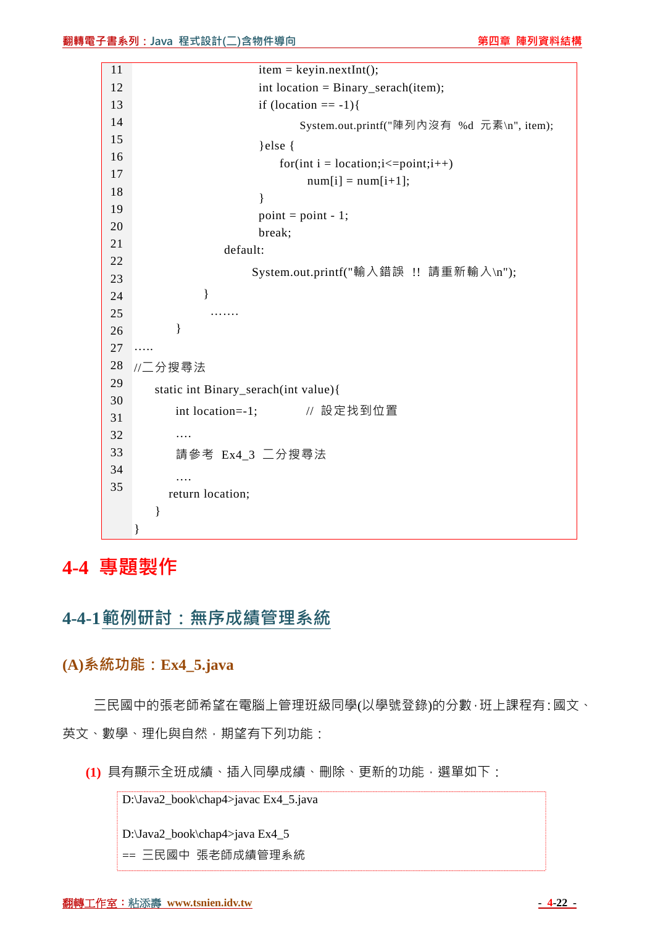| 11 | $item = keyin.nextInt();$                     |
|----|-----------------------------------------------|
| 12 | $int location = Binary\_search(item);$        |
| 13 | if $(location == -1)$ {                       |
| 14 | System.out.printf("陣列內沒有 %d 元素\n", item);     |
| 15 | } else $\{$                                   |
| 16 | for(int i = location; $i \le$ =point; $i$ ++) |
| 17 | $num[i] = num[i+1];$                          |
| 18 | ł                                             |
| 19 | $point = point - 1;$                          |
| 20 | break;                                        |
| 21 | default:                                      |
| 22 | System.out.printf("輸入錯誤 !! 請重新輸入\n");         |
| 23 |                                               |
| 24 | }                                             |
| 25 |                                               |
| 26 | }                                             |
| 27 | .                                             |
| 28 | //二分搜尋法                                       |
| 29 | static int Binary_serach(int value){          |
| 30 | // 設定找到位置<br>int location=-1;                 |
| 31 |                                               |
| 32 | .                                             |
| 33 | 請參考 Ex4_3 二分搜尋法                               |
| 34 | .                                             |
| 35 | return location;                              |
|    | }                                             |
|    | }                                             |

**4-4 專題製作**

**4-4-1範例研討:無序成績管理系統**

**(A)系統功能:Ex4\_5.java** 

三民國中的張老師希望在電腦上管理班級同學(以學號登錄)的分數,班上課程有:國文、 英文、數學、理化與自然, 期望有下列功能:

**(1)** 具有顯示全班成績、插入同學成績、刪除、更新的功能,選單如下:

D:\Java2\_book\chap4>javac Ex4\_5.java

D:\Java2\_book\chap4>java Ex4\_5

== 三民國中 張老師成績管理系統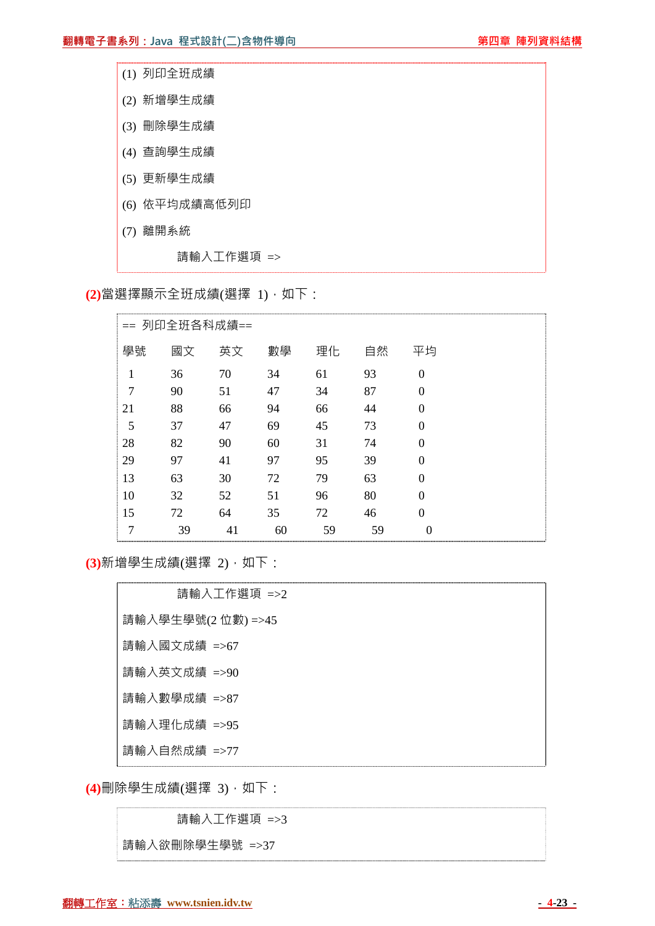| (1) 列印全班成績    |
|---------------|
| (2) 新增學生成績    |
| (3) 刪除學生成績    |
| (4) 查詢學生成績    |
| (5) 更新學生成績    |
| (6) 依平均成績高低列印 |
| (7) 離開系統      |
| 請輸入工作選項 =>    |

**(2)**當選擇顯示全班成績(選擇 1),如下:

|    |    | == 列印全班各科成績== |    |    |    |          |  |
|----|----|---------------|----|----|----|----------|--|
| 學號 | 國文 | 英文            | 數學 | 理化 | 自然 | 平均       |  |
| 1  | 36 | 70            | 34 | 61 | 93 | $\theta$ |  |
| 7  | 90 | 51            | 47 | 34 | 87 | $\theta$ |  |
| 21 | 88 | 66            | 94 | 66 | 44 | $\theta$ |  |
| 5  | 37 | 47            | 69 | 45 | 73 | $\theta$ |  |
| 28 | 82 | 90            | 60 | 31 | 74 | $\Omega$ |  |
| 29 | 97 | 41            | 97 | 95 | 39 | $\Omega$ |  |
| 13 | 63 | 30            | 72 | 79 | 63 | $\theta$ |  |
| 10 | 32 | 52            | 51 | 96 | 80 | $\Omega$ |  |
| 15 | 72 | 64            | 35 | 72 | 46 | $\Omega$ |  |
| 7  | 39 | 41            | 60 | 59 | 59 | $\theta$ |  |

**(3)**新增學生成績(選擇 2),如下:

| 請輸入工作選項 =>2        |
|--------------------|
| 請輸入學生學號(2 位數) =>45 |
| 請輸入國文成績 =>67       |
| 請輸入英文成績 =>90       |
| 請輸入數學成績 =>87       |
| 請輸入理化成績 =>95       |
| 請輸入自然成績 =>77       |

**(4)**刪除學生成績(選擇 3),如下:

請輸入工作選項 =>3

請輸入欲刪除學生學號 =>37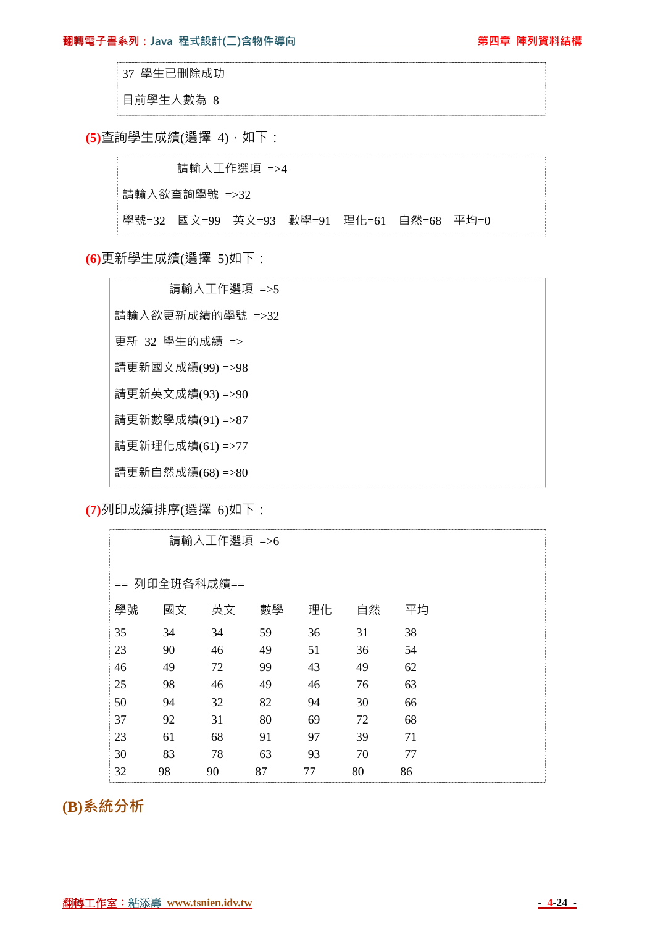37 學生已刪除成功

目前學生人數為 8

**(5)**查詢學生成績(選擇 4),如下:

 請輸入工作選項 =>4 請輸入欲查詢學號 =>32 學號=32 國文=99 英文=93 數學=91 理化=61 自然=68 平均=0

**(6)**更新學生成績(選擇 5)如下:

 請輸入工作選項 =>5 請輸入欲更新成績的學號 =>32 更新 32 學生的成績 => 請更新國文成績(99) =>98 請更新英文成績(93) =>90 請更新數學成績(91) =>87 請更新理化成績(61) =>77 請更新自然成績(68) =>80

**(7)**列印成績排序(選擇 6)如下:

|    |               | 請輸入工作選項 =>6 |    |    |    |    |  |
|----|---------------|-------------|----|----|----|----|--|
|    | == 列印全班各科成績== |             |    |    |    |    |  |
| 學號 | 國文            | 英文          | 數學 | 理化 | 自然 | 平均 |  |
| 35 | 34            | 34          | 59 | 36 | 31 | 38 |  |
| 23 | 90            | 46          | 49 | 51 | 36 | 54 |  |
| 46 | 49            | 72          | 99 | 43 | 49 | 62 |  |
| 25 | 98            | 46          | 49 | 46 | 76 | 63 |  |
| 50 | 94            | 32          | 82 | 94 | 30 | 66 |  |
| 37 | 92            | 31          | 80 | 69 | 72 | 68 |  |
| 23 | 61            | 68          | 91 | 97 | 39 | 71 |  |
| 30 | 83            | 78          | 63 | 93 | 70 | 77 |  |
| 32 | 98            | 90          | 87 | 77 | 80 | 86 |  |

**(B)系統分析**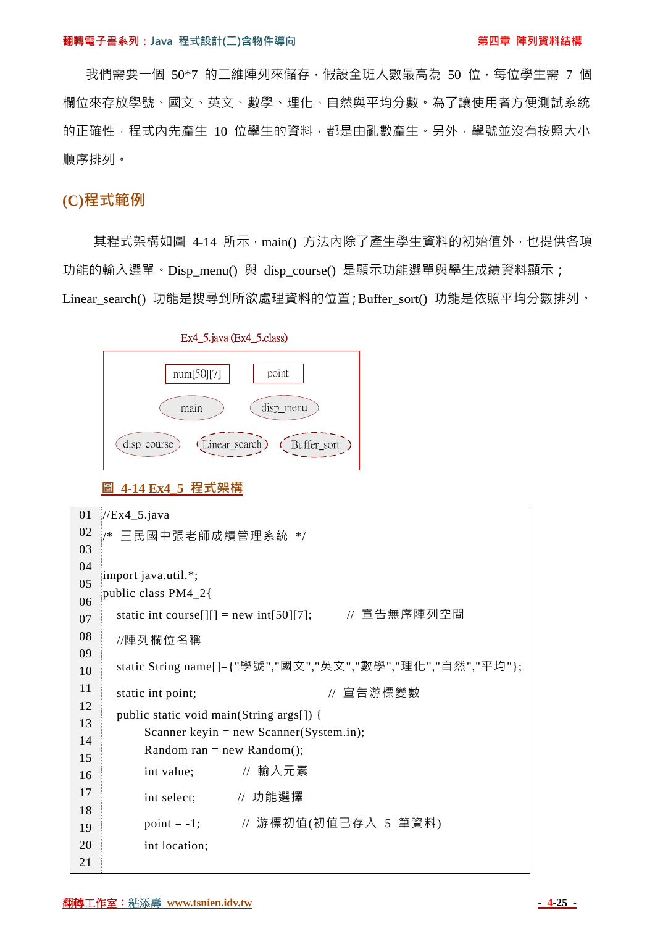我們需要一個 50\*7 的二維陣列來儲存,假設全班人數最高為 50 位,每位學生需 7 個 欄位來存放學號、國文、英文、數學、理化、自然與平均分數。為了讓使用者方便測試系統 的正確性,程式內先產生 10 位學生的資料,都是由亂數產生。另外,學號並沒有按照大小 順序排列。

#### **(C)程式範例**

其程式架構如圖 4-14 所示,main() 方法内除了產生學生資料的初始值外,也提供各項 功能的輸入選單。Disp\_menu() 與 disp\_course() 是顯示功能選單與學生成績資料顯示; Linear search() 功能是搜尋到所欲處理資料的位置;Buffer sort() 功能是依照平均分數排列。



**圖 4-14 Ex4\_5 程式架構**

```
01 
02 
03 
04 
05 
06 
07 
08 
09 
10 
11 
12 
13 
14 
15 
16 
17 
18 
19 
20 
21 
   //Ex4 5.java
   /* 三民國中張老師成績管理系統 */ 
    import java.util.*; 
    public class PM4_2{ 
      static int course[][] = new int[50][7]; // 宣告無序陣列空間
      //陣列欄位名稱
       static String name[]={"學號","國文","英文","數學","理化","自然","平均"}; 
      static int point; <br>
\blacksquare // 宣告游標變數
       public static void main(String args[]) { 
          Scanner keyin = new Scanner(System.in);
          Random ran = new Random();
           int value; // 輸入元素
           int select; // 功能選擇
          point = -1; // 游標初值(初值已存入 5 筆資料)
           int location;
```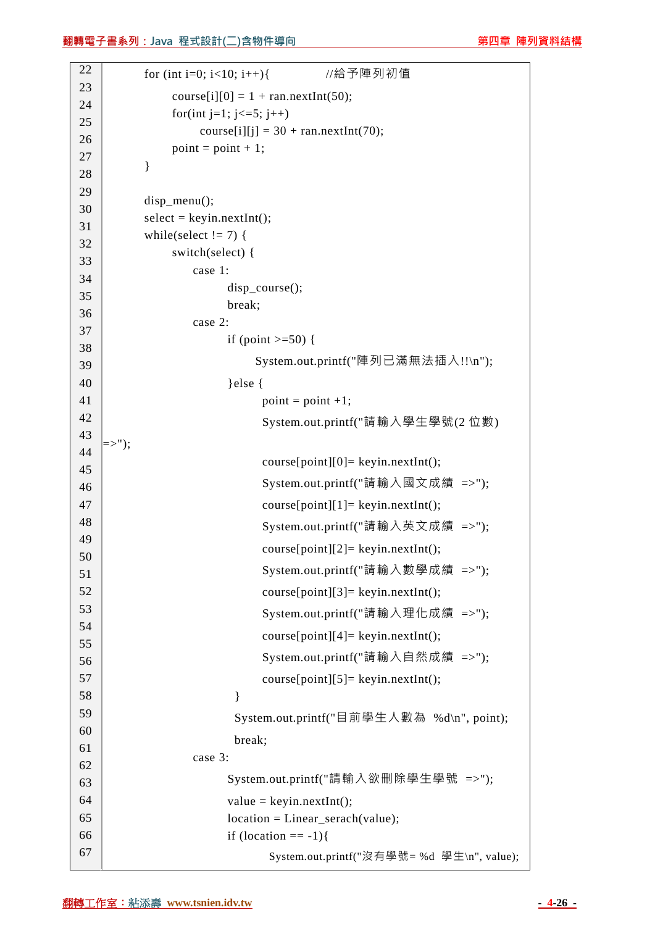```
22 
23 
24 
25 
26 
27 
28 
29 
30 
31 
32 
33 
34 
35 
36 
37 
38 
39 
40 
41 
42 
43 
44 
45 
46 
47 
48 
49 
50 
51 
52 
53 
54 
55 
56 
57 
58 
59 
60 
61 
62 
63 
64 
65 
66 
67 
             for (int i=0; i<10; i++){ //給予陣列初值
                 course[i][0] = 1 + \text{ran.nextInt}(50);
                 for(int j=1; j <= 5; j + + )
                      course[i][j] = 30 + \text{ran.nextInt}(70);
                 point = point + 1; } 
            disp_menu();
            select = keyin.nextInt();while(select != 7) {
                  switch(select) { 
                      case 1: 
                           disp course();
                            break; 
                      case 2: 
                           if (point >=50) {
                                 System.out.printf("陣列已滿無法插入!!\n"); 
                            }else { 
                                  point = point +1; System.out.printf("請輸入學生學號(2 位數) 
    \Rightarrow"):
                                   course[point][0]= keyin.nextInt(); 
                                   System.out.printf("請輸入國文成績 =>"); 
                                  course[point][1] = keyin.nextInt(); System.out.printf("請輸入英文成績 =>"); 
                                   course[point][2]= keyin.nextInt(); 
                                   System.out.printf("請輸入數學成績 =>"); 
                                   course[point][3]= keyin.nextInt(); 
                                   System.out.printf("請輸入理化成績 =>"); 
                                   course[point][4]= keyin.nextInt(); 
                                   System.out.printf("請輸入自然成績 =>"); 
                                   course[point][5]= keyin.nextInt(); 
     } 
                             System.out.printf("目前學生人數為 %d\n", point); 
                             break; 
                      case 3: 
                            System.out.printf("請輸入欲刪除學生學號 =>"); 
                           value = kevin.nextInt():
                           location = Linear\,serach(value);if (location == -1) System.out.printf("沒有學號= %d 學生\n", value);
```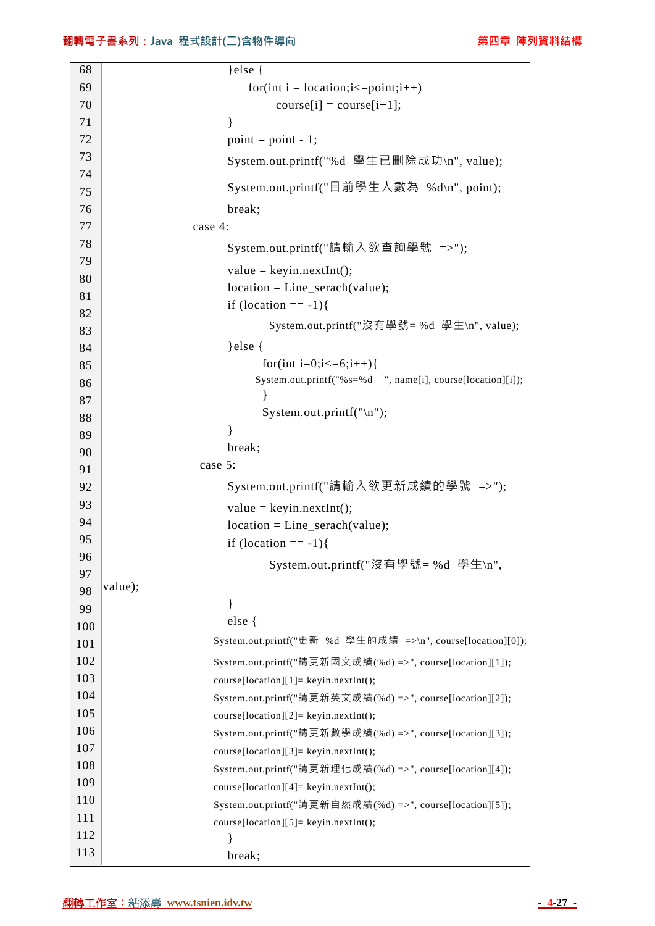| 68       | $\text{else }$                                              |
|----------|-------------------------------------------------------------|
| 69       | for(int i = location; $i \le$ =point; $i$ ++)               |
| 70       | $course[i] = course[i+1];$                                  |
| 71       | ∤                                                           |
| 72       | $point = point - 1;$                                        |
| 73       | System.out.printf("%d 學生已刪除成功\n", value);                   |
| 74       | System.out.printf("目前學生人數為 %d\n", point);                   |
| 75       |                                                             |
| 76       | break;                                                      |
| 77<br>78 | case 4:                                                     |
| 79       | System.out.printf("請輸入欲查詢學號 =>");                           |
|          | $value = keyin.nextInt();$                                  |
| 80       | $location = Line\_search(value);$                           |
| 81       | if (location $== -1)$ {                                     |
| 82<br>83 | System.out.printf("沒有學號=%d 學生\n", value);                   |
| 84       | $\}$ else $\{$                                              |
| 85       | for(int i=0;i $\leq$ =6;i++){                               |
| 86       | System.out.printf("%s=%d ", name[i], course[location][i]);  |
| 87       |                                                             |
| 88       | System.out.printf("\n");                                    |
| 89       | ∤                                                           |
| 90       | break;                                                      |
| 91       | case 5:                                                     |
| 92       | System.out.printf("請輸入欲更新成績的學號 =>");                        |
| 93       | $value = keyin.nextInt();$                                  |
| 94       | $location = Line\_search(value);$                           |
| 95       | if $(location == -1)$                                       |
| 96       | System.out.printf("沒有學號=%d 學生\n",                           |
| 97       |                                                             |
| 98       | value);                                                     |
| 99       | }                                                           |
| 100      | else {                                                      |
| 101      | System.out.printf("更新 %d 學生的成績 =>\n", course[location][0]); |
| 102      | System.out.printf("請更新國文成績(%d) =>", course[location][1]);   |
| 103      | course[location][1]= keyin.nextInt();                       |
| 104      | System.out.printf("請更新英文成績(%d) =>", course[location][2]);   |
| 105      | course[location][2]= keyin.nextInt();                       |
| 106      | System.out.printf("請更新數學成績(%d) =>", course[location][3]);   |
| 107      | course[location][3]= keyin.nextInt();                       |
| 108      | System.out.printf("請更新理化成績(%d) =>", course[location][4]);   |
| 109      | course[location][4]= keyin.nextInt();                       |
| 110      | System.out.printf("請更新自然成績(%d) =>", course[location][5]);   |
| 111      | course[location][5]= keyin.nextInt();                       |
| 112      | ł                                                           |
| 113      | break;                                                      |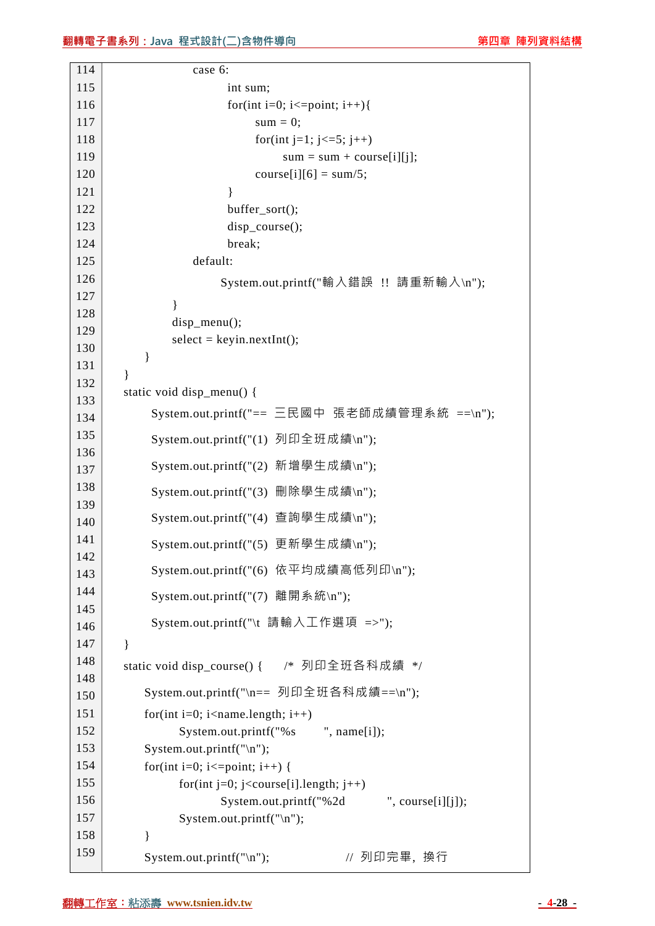```
114 
115 
116 
117 
118 
119 
120 
121 
122 
123 
124 
125 
126 
127 
128 
129 
130 
131 
132 
133 
134 
135 
136 
137 
138 
139 
140 
141 
142 
143 
144 
145 
146 
147 
148 
148 
150 
151 
152 
153 
154 
155 
156 
157 
158 
159 
                     case 6: 
                           int sum; 
                          for(int i=0; i \leq=point; i++){
                               sum = 0;for(int j=1; j<=5; j++)
                                    sum = sum + course[i][j];course[i][6] = sum/5;
     } 
                           buffer_sort(); 
                           disp_course(); 
                           break; 
                     default: 
                          System.out.printf("輸入錯誤 !! 請重新輸入\n"); 
     } 
                disp_menu();
                select = keyin.nextInt(); } 
         } 
         static void disp_menu() { 
              System.out.printf("== 三民國中 張老師成績管理系統 ==\n"); 
              System.out.printf("(1) 列印全班成績\n"); 
              System.out.printf("(2) 新增學生成績\n"); 
              System.out.printf("(3) 刪除學生成績\n"); 
              System.out.printf("(4) 查詢學生成績\n"); 
              System.out.printf("(5) 更新學生成績\n"); 
              System.out.printf("(6) 依平均成績高低列印\n"); 
              System.out.printf("(7) 離開系統\n"); 
             System.out.printf("\t 請輸入工作選項 =>");
         } 
        static void disp_course() { /* 列印全班各科成績 */
            System.out.printf("\n== 列印全班各科成績==\n"); 
           for(int i=0; i<name.length; i++)
                  System.out.printf("%s ", name[i]);
             System.out.printf("\n"); 
            for(int i=0; i \le=point; i++) {
                  for(int j=0; j<course[i].length; j++)
                         System.out.printf("%2d ", course[i][j]);
                   System.out.printf("\n"); 
             } 
            System.out.printf("\n"); // 列印完畢, 換行
```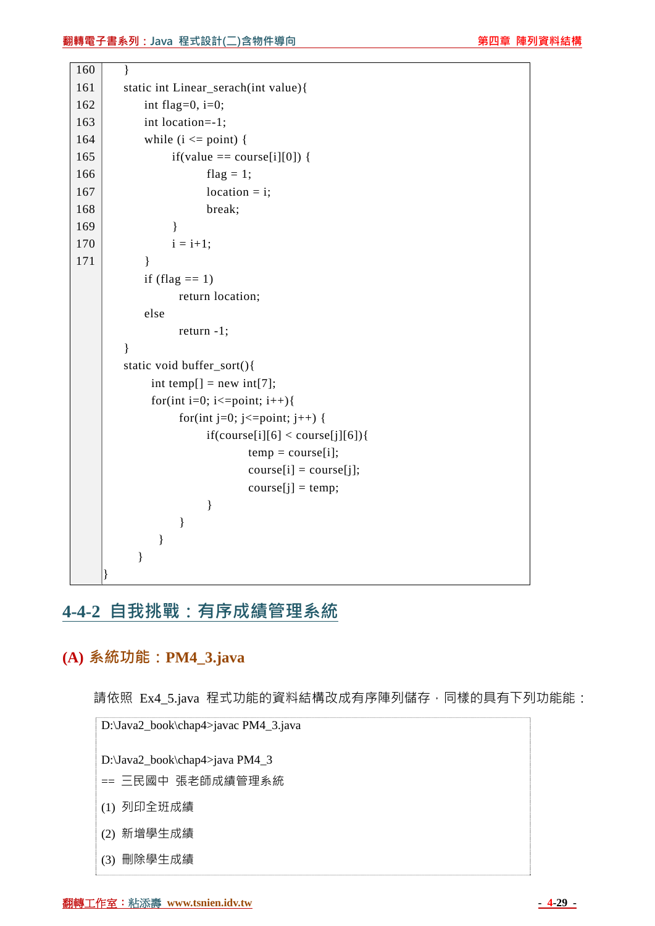

# **4-4-2 自我挑戰:有序成績管理系統**

## **(A) 系統功能:PM4\_3.java**

請依照 Ex4\_5.java 程式功能的資料結構改成有序陣列儲存,同樣的具有下列功能能:

D:\Java2\_book\chap4>javac PM4\_3.java

D:\Java2\_book\chap4>java PM4\_3

- == 三民國中 張老師成績管理系統
- (1) 列印全班成績
- (2) 新增學生成績
- (3) 刪除學生成績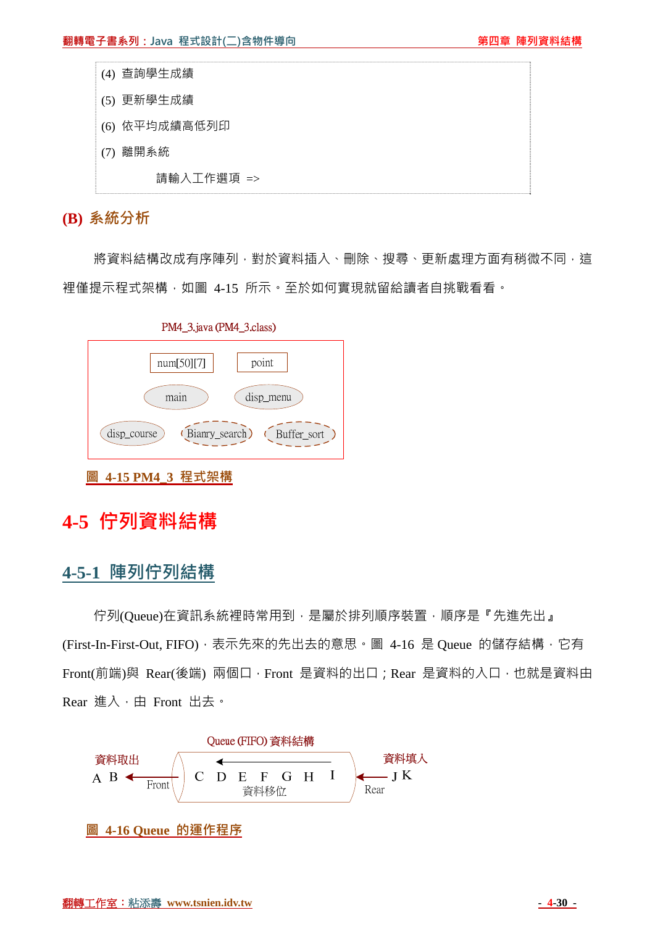- (4) 查詢學生成績
- (5) 更新學生成績
- (6) 依平均成績高低列印
- (7) 離開系統

請輸入工作選項 =>

### **(B) 系統分析**

將資料結構改成有序陣列,對於資料插入、刪除、搜尋、更新處理方面有稍微不同,這 裡僅提示程式架構,如圖 4-15 所示。至於如何實現就留給讀者自挑戰看看。



PM4 3. iava (PM4 3. class)

# **4-5 佇列資料結構**

## **4-5-1 陣列佇列結構**

佇列(Queue)在資訊系統裡時常用到,是屬於排列順序裝置,順序是『先進先出』 (First-In-First-Out, FIFO), 表示先來的先出去的意思。圖 4-16 是 Queue 的儲存結構, 它有 Front(前端)與 Rear(後端) 兩個口, Front 是資料的出口; Rear 是資料的入口, 也就是資料由 Rear 進入,由 Front 出去。



**圖 4-16 Queue 的運作程序**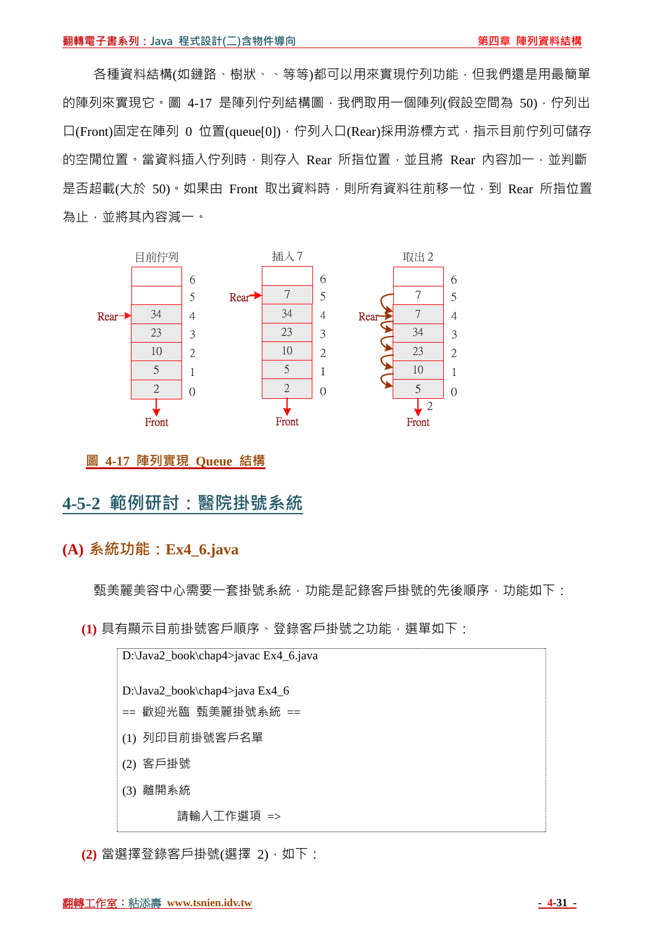各種資料結構(如鏈路、樹狀、、等等)都可以用來實現佇列功能,但我們還是用最簡單 的陣列來實現它。圖 4-17 是陣列佇列結構圖,我們取用一個陣列(假設空間為 50),佇列出 口(Front)固定在陣列 0 位置(queue[0]),佇列入口(Rear)採用游標方式,指示目前佇列可儲存 的空閒位置。當資料插入佇列時,則存入 Rear 所指位置,並且將 Rear 內容加一,並判斷 是否超載(大於 50)。如果由 Front 取出資料時,則所有資料往前移一位,到 Rear 所指位置 為止,並將其內容減一。



**圖 4-17 陣列實現 Queue 結構**

## **4-5-2 範例研討:醫院掛號系統**

### **(A) 系統功能:Ex4\_6.java**

甄美麗美容中心需要一套掛號系統,功能是記錄客戶掛號的先後順序,功能如下:

**(1)** 具有顯示目前掛號客戶順序、登錄客戶掛號之功能,選單如下:



**(2)** 當選擇登錄客戶掛號(選擇 2),如下: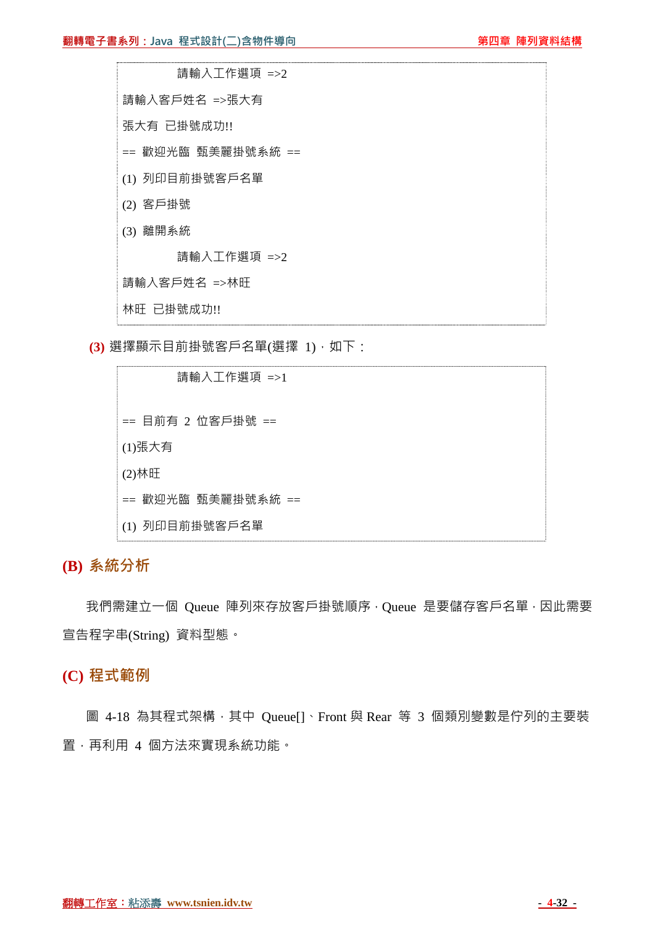

**(3)** 選擇顯示目前掛號客戶名單(選擇 1),如下:

 請輸入工作選項 =>1 == 目前有 2 位客戶掛號 == (1)張大有 (2)林旺 == 歡迎光臨 甄美麗掛號系統 == (1) 列印目前掛號客戶名單

**(B) 系統分析**

我們需建立一個 Queue 陣列來存放客戶掛號順序, Queue 是要儲存客戶名單, 因此需要 宣告程字串(String) 資料型態。

## **(C) 程式範例**

圖 4-18 為其程式架構,其中 Queue[]、Front 與 Rear 等 3 個類別變數是佇列的主要裝 置,再利用 4 個方法來實現系統功能。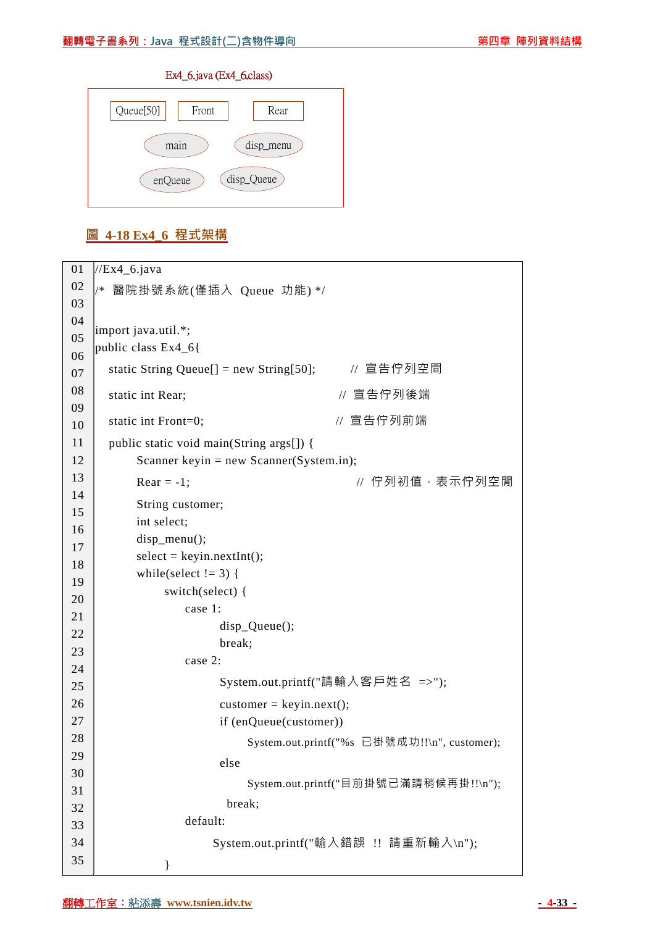#### Ex4\_6.java (Ex4\_6.class)



### **圖 4-18 Ex4\_6 程式架構**

| 01 | $\frac{\text{NEx4}}{\text{A} \cdot \text{A}}$     |
|----|---------------------------------------------------|
| 02 | 醫院掛號系統(僅插入 Queue 功能)*/<br>$/*$                    |
| 03 |                                                   |
| 04 | import java.util.*;                               |
| 05 | public class Ex4_6{                               |
| 06 |                                                   |
| 07 | static String Queue[] = new String[50]; // 宣告佇列空間 |
| 08 | // 宣告佇列後端<br>static int Rear;                     |
| 09 |                                                   |
| 10 | // 宣告佇列前端<br>static int Front=0;                  |
| 11 | public static void main(String args[]) {          |
| 12 | Scanner keyin = new Scanner(System.in);           |
| 13 | // 佇列初值,表示佇列空閒<br>$Rear = -1$ ;                   |
| 14 | String customer;                                  |
| 15 | int select;                                       |
| 16 | $disp_mean()$ ;                                   |
| 17 | $select = keyin.nextInt();$                       |
| 18 | while(select $!= 3$ ) {                           |
| 19 | switch(select) {                                  |
| 20 | case 1:                                           |
| 21 |                                                   |
| 22 | $disp\_Queue$<br>break;                           |
| 23 | case 2:                                           |
| 24 |                                                   |
| 25 | System.out.printf("請輸入客戶姓名 =>");                  |
| 26 | $\text{customer} = \text{keyin.next}$ ;           |
| 27 | if (enQueue(customer))                            |
| 28 | System.out.printf("%s 已掛號成功!!\n", customer);      |
| 29 | else                                              |
| 30 | System.out.printf("目前掛號已滿請稍候再掛!!\n");             |
| 31 |                                                   |
| 32 | break;                                            |
| 33 | default:                                          |
| 34 | System.out.printf("輸入錯誤 !! 請重新輸入\n");             |
| 35 | ∤                                                 |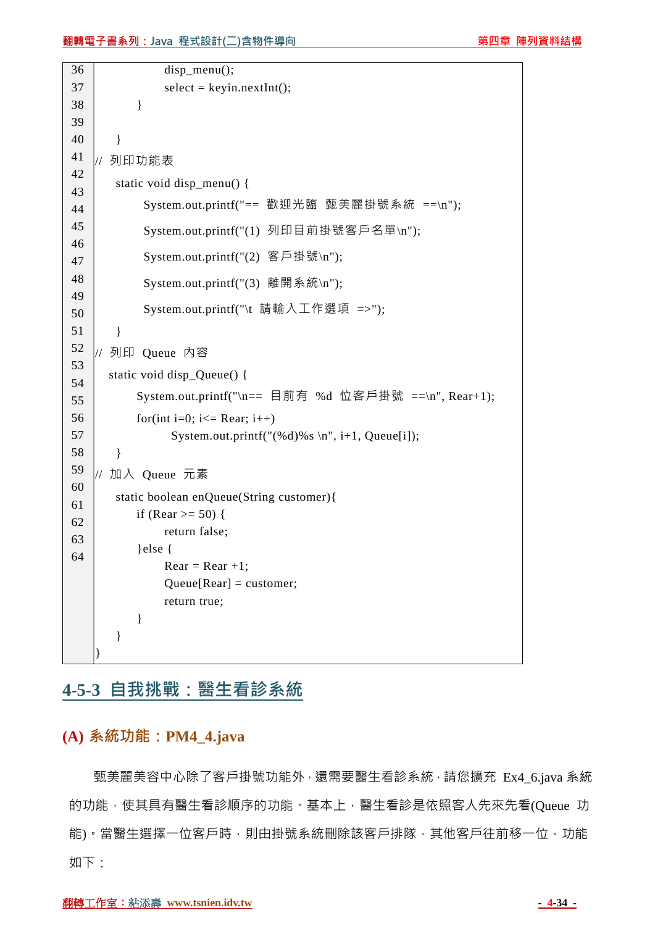```
36 
37 
38 
39 
40 
41 
42 
43 
44 
45 
46 
47 
48 
49 
50 
51 
52 
53 
54 
55 
56 
57 
58 
59 
60 
61 
62 
63 
64 
                 disp_menu();
                 select = keyin.nextInt(); } 
         } 
    // 列印功能表
         static void disp_menu() { 
             System.out.printf("== 歡迎光臨 甄美麗掛號系統 ==\ln");
              System.out.printf("(1) 列印目前掛號客戶名單\n"); 
              System.out.printf("(2) 客戶掛號\n"); 
              System.out.printf("(3) 離開系統\n"); 
              System.out.printf("\t 請輸入工作選項 =>"); 
         } 
    // 列印 Queue 內容
        static void disp_Queue() { 
             System.out.printf("\n== 目前有 %d 位客戶掛號 ==\n", Rear+1); 
            for(int i=0; i \leq Rear; i++)
                  System.out.printf("(\% d)%s \n", i+1, Queue[i]);
         } 
    // 加入 Queue 元素
         static boolean enQueue(String customer){ 
            if (Rear >= 50) {
                  return false; 
             }else { 
                 Rear = Rear +1;Queue[Rear] = customer; return true; 
             } 
         } 
    }
```
## **4-5-3 自我挑戰:醫生看診系統**

#### **(A) 系統功能:PM4\_4.java**

甄美麗美容中心除了客戶掛號功能外,還需要醫生看診系統,請您擴充 Ex4 6.java 系統 的功能,使其具有醫牛看診順序的功能。基本上,醫生看診是依照客人先來先看(Queue 功 能)。當醫生選擇一位客戶時,則由掛號系統刪除該客戶排隊,其他客戶往前移一位,功能 如下: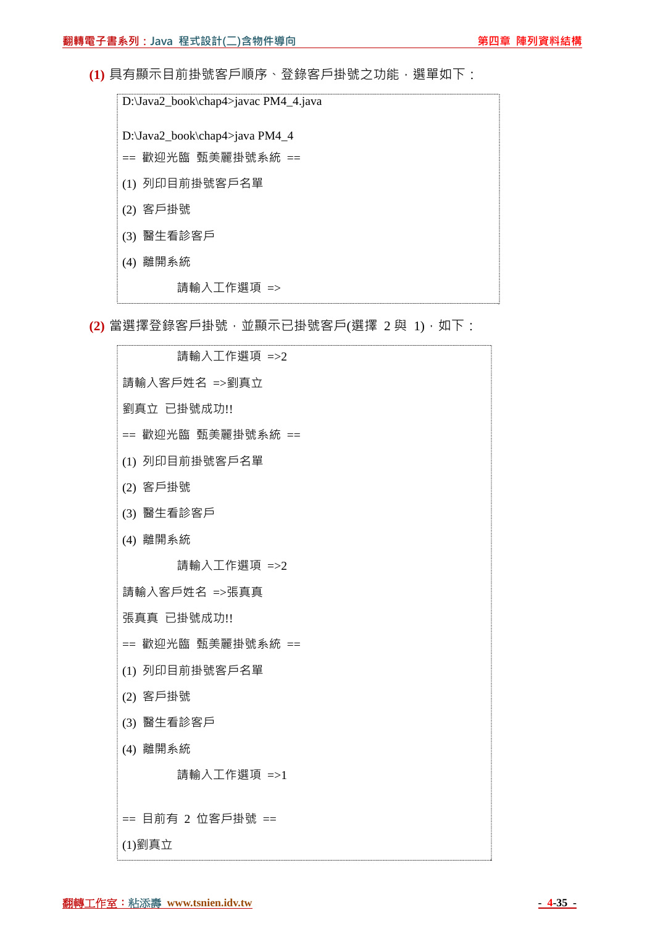**(1)** 具有顯示目前掛號客戶順序、登錄客戶掛號之功能,選單如下:

D:\Java2\_book\chap4>javac PM4\_4.java D:\Java2\_book\chap4>java PM4\_4 == 歡迎光臨 甄美麗掛號系統 == (1) 列印目前掛號客戶名單 (2) 客戶掛號 (3) 醫生看診客戶 (4) 離開系統 請輸入工作選項 =>

**(2)** 當選擇登錄客戶掛號,並顯示已掛號客戶(選擇 2 與 1),如下:

 請輸入工作選項 =>2 請輸入客戶姓名 =>劉真立 劉真立 已掛號成功!! == 歡迎光臨 甄美麗掛號系統 == (1) 列印目前掛號客戶名單 (2) 客戶掛號 (3) 醫生看診客戶 (4) 離開系統 請輸入工作選項 =>2 請輸入客戶姓名 =>張真真 張真真 已掛號成功!! == 歡迎光臨 甄美麗掛號系統 == (1) 列印目前掛號客戶名單 (2) 客戶掛號 (3) 醫生看診客戶 (4) 離開系統 請輸入工作選項 =>1 == 目前有 2 位客戶掛號 == (1)劉真立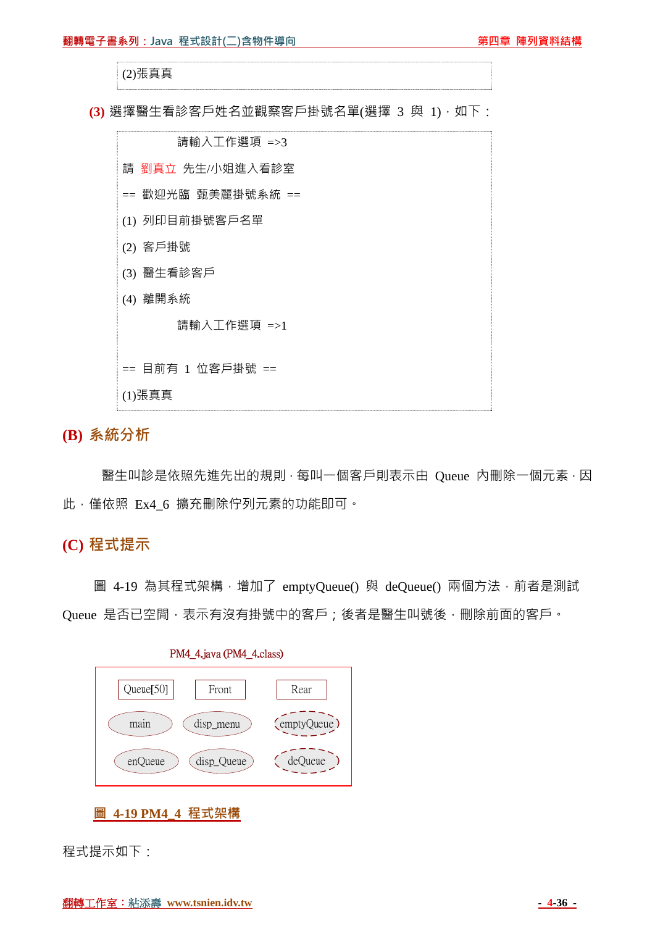#### (2)張真真

(3) 選擇醫生看診客戶姓名並觀察客戶掛號名單(選擇 3 與 1), 如下:



**(B) 系統分析**

醫生叫診是依照先進先出的規則,每叫一個客戶則表示由 Oueue 內刪除一個元素,因 此,僅依照 Ex4 6 擴充刪除佇列元素的功能即可。

### **(C) 程式提示**

圖 4-19 為其程式架構, 增加了 emptyQueue() 與 deQueue() 兩個方法, 前者是測試 Oueue 是否已空閒,表示有沒有掛號中的客戶;後者是醫生叫號後,刪除前面的客戶。



PM4 4.java (PM4 4.class)

程式提示如下:

**圖 4-19 PM4\_4 程式架構**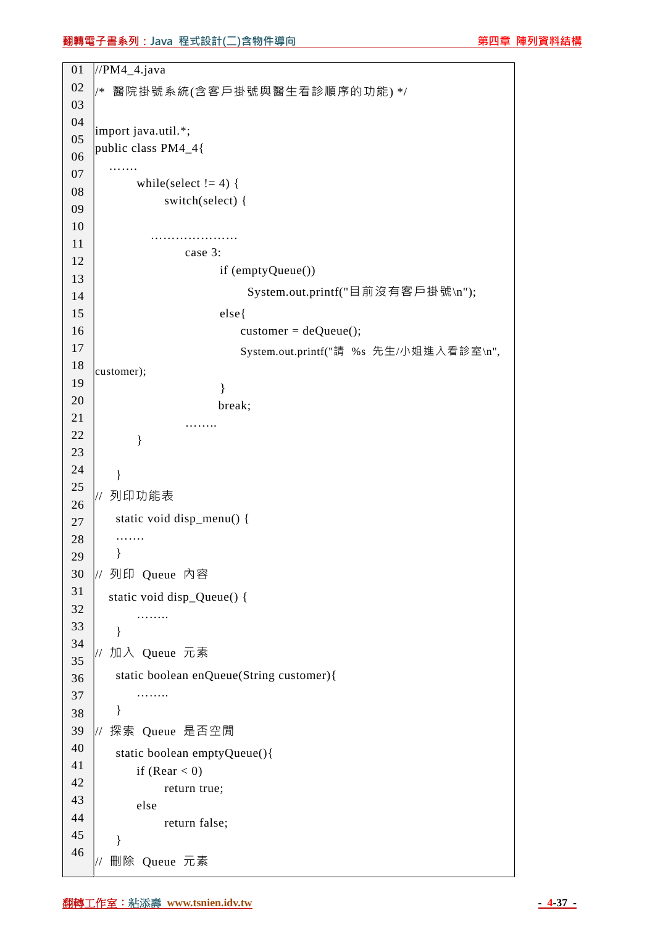#### **翻轉電子書系列:Java 程式設計(二)含物件導向 キャランス かいきょう かいりょう 第四章 陣列資料結構**

```
01 
02 
03 
04 
05 
06 
07 
08 
09 
10 
11 
12 
13 
14 
15 
16 
17 
18 
19 
20 
21 
22 
23 
24 
25 
26 
27 
28 
29 
30 
31 
32 
33 
34 
35 
36 
37 
38 
39 
40 
41 
42 
43 
44 
45 
46 
    //PM4_4.java 
    /* 醫院掛號系統(含客戶掛號與醫生看診順序的功能) */ 
    import java.util.*; 
    public class PM4_4{ 
       ……
            while(select != 4) {
                  switch(select) { 
              ………………………
                      case 3: 
                            if (emptyQueue()) 
                                 System.out.printf("目前沒有客戶掛號\n"); 
                            else{ 
                               \text{customer} = \text{deQueue}\text{)};
                                System.out.printf("請 %s 先生/小姐進入看診室\n", 
    customer); 
     } 
                           break; 
                      …….. 
             } 
         } 
    // 列印功能表
         static void disp_menu() { 
        ……
         } 
    // 列印 Queue 內容
        static void disp_Queue() { 
             …….. 
         } 
    // 加入 Queue 元素
         static boolean enQueue(String customer){ 
             …….. 
         } 
    // 探索 Queue 是否空閒
         static boolean emptyQueue(){ 
            if (Rear < 0) return true; 
             else 
                  return false; 
         } 
    // 刪除 Queue 元素
```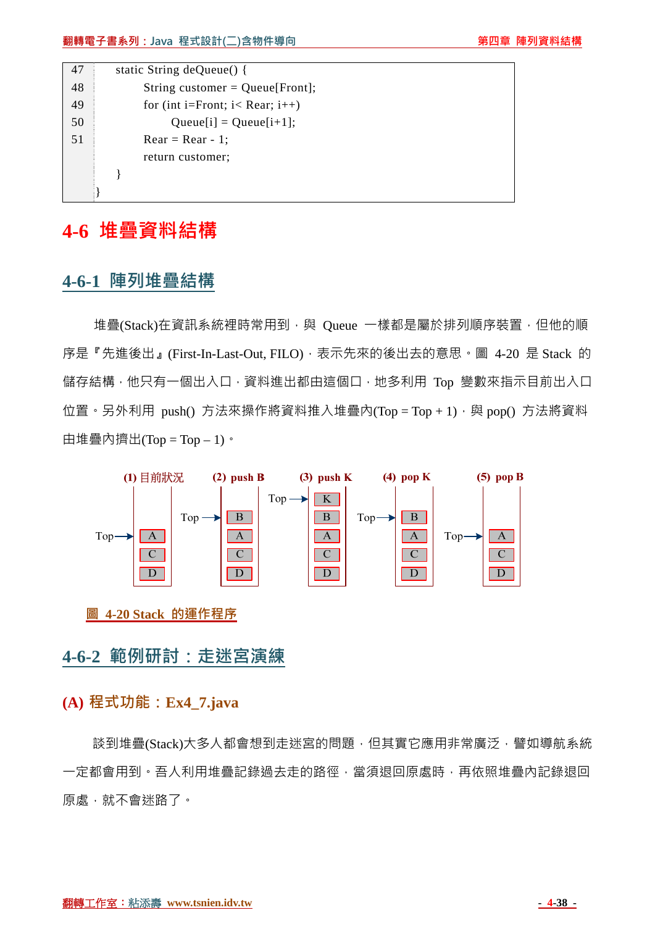| 47 | static String $deQueue()$ {           |
|----|---------------------------------------|
| 48 | String customer = $Queue[Front];$     |
| 49 | for (int i=Front; $i <$ Rear; $i++$ ) |
| 50 | $Queue[i] = Queue[i+1];$              |
| 51 | $Rear = Rear - 1$ ;                   |
|    | return customer;                      |
|    |                                       |
|    |                                       |

# **4-6 堆疊資料結構**

## **4-6-1 陣列堆疊結構**

堆疊(Stack)在資訊系統裡時常用到,與 Queue 一樣都是屬於排列順序裝置,但他的順 序是『先進後出』(First-In-Last-Out, FILO), 表示先來的後出去的意思。圖 4-20 是 Stack 的 儲存結構,他只有一個出入口,資料進出都由這個口,地多利用 Top 變數來指示目前出入口 位置。另外利用 push() 方法來操作將資料推入堆疊內(Top = Top + 1), 與 pop() 方法將資料 由堆疊內擠出(Top = Top - 1)。



**圖 4-20 Stack 的運作程序**

## **4-6-2 範例研討:走迷宮演練**

## **(A) 程式功能:Ex4\_7.java**

談到堆疊(Stack)大多人都會想到走迷宮的問題,但其實它應用非常廣泛,譬如導航系統 一定都會用到。吾人利用堆疊記錄過去走的路徑,當須退回原處時,再依照堆疊內記錄退回 原處,就不會迷路了。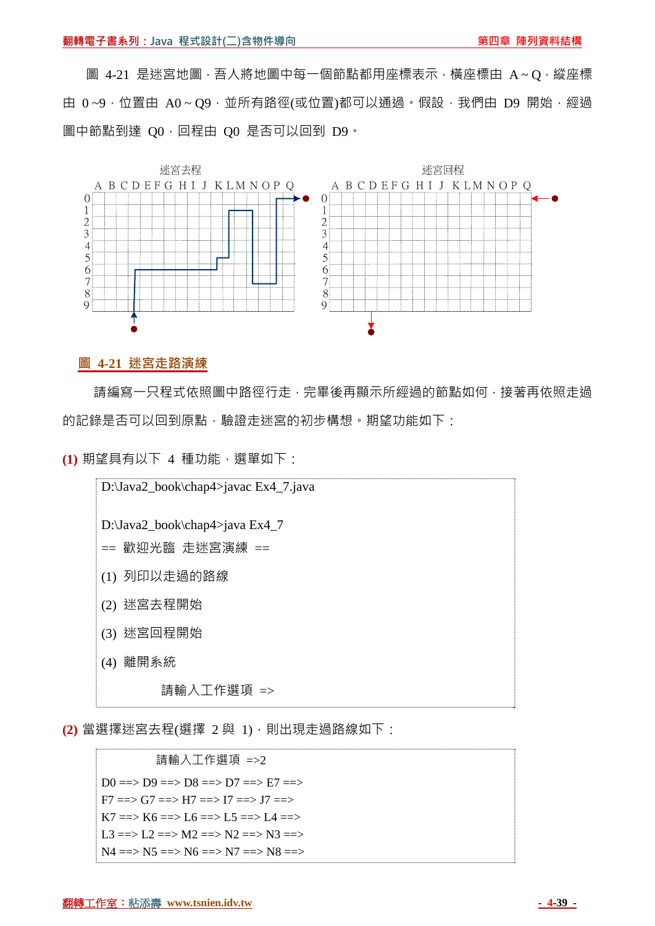圖 4-21 是迷宮地圖,吾人將地圖中每一個節點都用座標表示, 橫座標由 A~O, 縱座標 由 0~9,位置由 A0~Q9,並所有路徑(或位置)都可以通過。假設,我們由 D9 開始,經過 圖中節點到達 OO, 回程由 OO 是否可以回到 D9。



#### **圖 4-21 迷宮走路演練**

請編寫一只程式依照圖中路徑行走,完畢後再顯示所經過的節點如何,接著再依照走過 的記錄是否可以回到原點,驗證走迷宮的初步構想。期望功能如下:

**(1)** 期望具有以下 4 種功能,選單如下:



**(2)** 當選擇迷宮去程(選擇 2 與 1),則出現走過路線如下:

 請輸入工作選項 =>2  $D0 \implies D9 \implies D8 \implies D7 \implies E7 \implies$  $F7 \implies G7 \implies H7 \implies H7 \implies I7 \implies J7 \implies$  $K7 \implies K6 \implies L6 \implies L5 \implies L4 \implies$ L3 = = > L2 = = > M2 = = > N2 = = > N3 = = > N4 ==> N5 ==> N6 ==> N7 ==> N8 ==>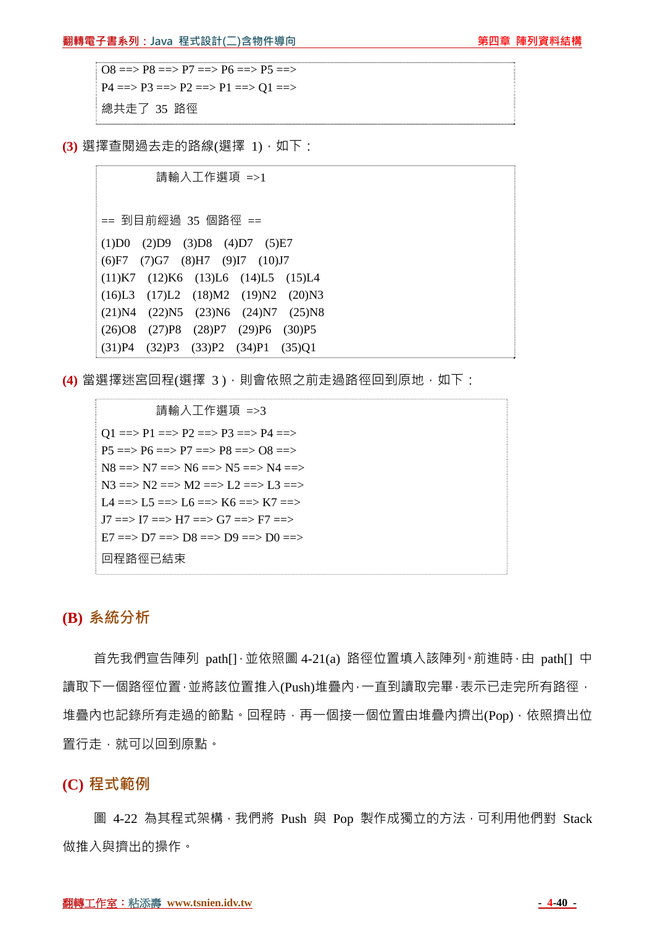#### **翻轉電子書系列:Java 程式設計(二)含物件導向 キャランス かいきょう かいりょう 第四章 陣列資料結構**

 $\overline{OB}$  =  $\geq$  P $\overline{OB}$  =  $\geq$  P $\overline{O}$  =  $\geq$  P $\overline{OB}$  =  $\geq$  P $\overline{OB}$  =  $\geq$  $P4 \implies P3 \implies P2 \implies P1 \implies Q1 \implies P4$ 總共走了 35 路徑

**(3)** 選擇查閱過去走的路線(選擇 1),如下:

 請輸入工作選項 =>1 == 到目前經過 35 個路徑 == (1)D0 (2)D9 (3)D8 (4)D7 (5)E7 (6)F7 (7)G7 (8)H7 (9)I7 (10)J7 (11)K7 (12)K6 (13)L6 (14)L5 (15)L4 (16)L3 (17)L2 (18)M2 (19)N2 (20)N3 (21)N4 (22)N5 (23)N6 (24)N7 (25)N8 (26)O8 (27)P8 (28)P7 (29)P6 (30)P5 (31)P4 (32)P3 (33)P2 (34)P1 (35)Q1

**(4)** 當選擇迷宮回程(選擇 3), 則會依照之前走過路徑回到原地, 如下:

 請輸入工作選項 =>3  $Q1 \implies P1 \implies P2 \implies P3 \implies P4 \implies P4$  $P5 \implies P6 \implies P7 \implies P8 \implies 08 \implies$  $N8 == > N7 == > N6 == > N5 == > N4 == >$  $N3 \implies N2 \implies M2 \implies L2 \implies L3 \implies L3 \implies$ L4 ==> L5 ==> L6 ==> K6 ==> K7 ==>  $J7 \implies I7 \implies H7 \implies G7 \implies F7 \implies$  $E7 == D7 == D8 == D9 == D9 == D0 ==$ 回程路徑已結束

#### **(B) 系統分析**

首先我們宣告陣列 path[]·並依照圖 4-21(a) 路徑位置填入該陣列·前進時·由 path[] 中 讀取下一個路徑位置,並將該位置推入(Push)堆疊內,一直到讀取完畢,表示已走完所有路徑, 堆疊內也記錄所有走過的節點。回程時,再一個接一個位置由堆疊內擠出(Pop),依照擠出位 置行走,就可以回到原點。

**(C) 程式範例**

圖 4-22 為其程式架構, 我們將 Push 與 Pop 製作成獨立的方法, 可利用他們對 Stack 做推入與擠出的操作。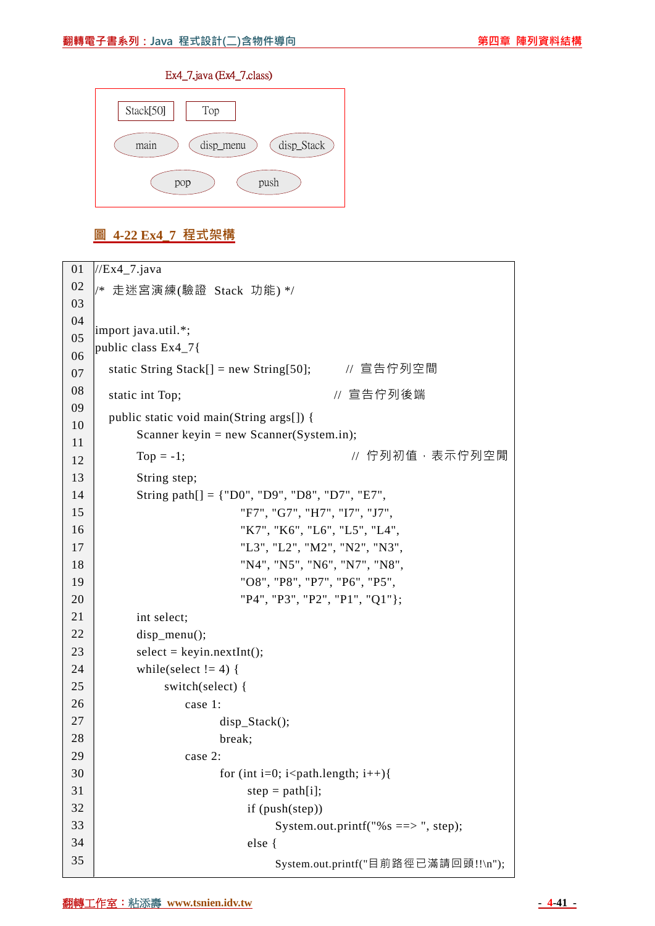#### Ex4\_7.java (Ex4\_7.class)



### **圖 4-22 Ex4\_7 程式架構**

| 01 | $//Ex4_7.java$                                                |
|----|---------------------------------------------------------------|
| 02 | /* 走迷宮演練(驗證 Stack 功能) */                                      |
| 03 |                                                               |
| 04 | import java.util.*;                                           |
| 05 | public class Ex4_7{                                           |
| 06 |                                                               |
| 07 | // 宣告佇列空間<br>static String Stack $[]$ = new String[50];       |
| 08 | // 宣告佇列後端<br>static int Top;                                  |
| 09 | public static void main(String args[]) {                      |
| 10 | Scanner keyin = new Scanner(System.in);                       |
| 11 | // 佇列初值,表示佇列空閒<br>$Top = -1;$                                 |
| 12 |                                                               |
| 13 | String step;                                                  |
| 14 | String path[] = {"D0", "D9", "D8", "D7", "E7",                |
| 15 | "F7", "G7", "H7", "I7", "J7",                                 |
| 16 | "K7", "K6", "L6", "L5", "L4",                                 |
| 17 | "L3", "L2", "M2", "N2", "N3",                                 |
| 18 | "N4", "N5", "N6", "N7", "N8",                                 |
| 19 | "O8", "P8", "P7", "P6", "P5",                                 |
| 20 | "P4", "P3", "P2", "P1", "Q1"};                                |
| 21 | int select;                                                   |
| 22 | $disp_mean()$ ;                                               |
| 23 | $select = keyin.nextInt();$                                   |
| 24 | while(select $!= 4$ ) {                                       |
| 25 | switch(select) {                                              |
| 26 | case 1:                                                       |
| 27 | $disp\_Stack$ $();$                                           |
| 28 | break;                                                        |
| 29 | case 2:                                                       |
| 30 | for (int i=0; i <path.length; i++){<="" td=""></path.length;> |
| 31 | step = $path[i];$                                             |
| 32 | if (push(step))                                               |
| 33 | System.out.printf("% $s == >$ ", step);                       |
| 34 | else {                                                        |
| 35 | System.out.printf("目前路徑已滿請回頭!!\n");                           |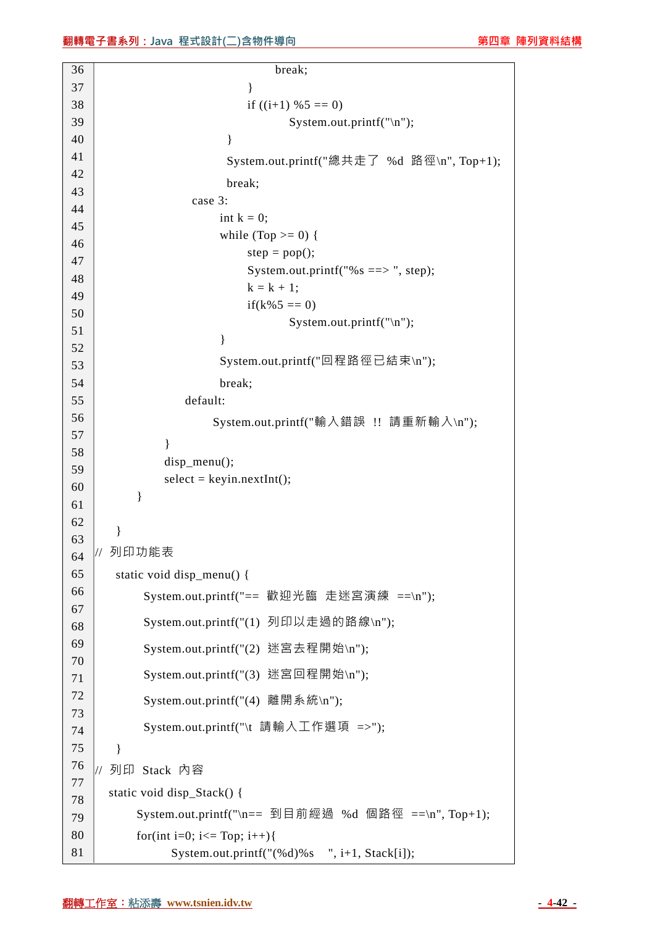| 36       | break;                                              |
|----------|-----------------------------------------------------|
| 37       | ∤                                                   |
| 38       | if $((i+1)$ %5 == 0)                                |
| 39       | System.out.printf("\n");                            |
| 40       | }                                                   |
| 41       | System.out.printf("總共走了 %d 路徑\n", Top+1);           |
| 42       | break;                                              |
| 43<br>44 | case 3:                                             |
| 45       | int $k = 0$ ;                                       |
| 46       | while (Top $\ge$ = 0) {                             |
| 47       | $step = pop();$                                     |
| 48       | System.out.printf("%s ==> ", step);                 |
| 49       | $k = k + 1;$                                        |
| 50       | $if(k\%5 == 0)$                                     |
| 51       | System.out.printf(" $\langle n'' \rangle$ ;         |
| 52       | $\}$                                                |
| 53       | System.out.printf("回程路徑已結束\n");                     |
| 54       | break;                                              |
| 55       | default:                                            |
| 56       | System.out.printf("輸入錯誤 !! 請重新輸入\n");               |
| 57       | ł                                                   |
| 58       | $disp_mean()$ ;                                     |
| 59       | $select = keyin.nextInt();$                         |
| 60       | }                                                   |
| 61<br>62 |                                                     |
| 63       | }                                                   |
| 64       | 列印功能表                                               |
| 65       | static void disp_menu() {                           |
| 66       | System.out.printf("== 歡迎光臨 走迷宮演練 ==\n");            |
| 67       |                                                     |
| 68       | System.out.printf("(1) 列印以走過的路線\n");                |
| 69       | System.out.printf("(2) 迷宮去程開始\n");                  |
| 70       | System.out.printf("(3) 迷宮回程開始\n");                  |
| 71<br>72 |                                                     |
| 73       | System.out.printf("(4) 離開系統\n");                    |
| 74       | System.out.printf("\t 請輸入工作選項 =>");                 |
| 75       | ł                                                   |
| 76       | 列印 Stack 内容<br>$\frac{1}{2}$                        |
| 77       |                                                     |
| 78       | static void disp_Stack() {                          |
| 79       | System.out.printf("\n== 到目前經過 %d 個路徑 ==\n", Top+1); |
| 80       | for(int i=0; i<= Top; i++){                         |
| 81       | System.out.printf(" $(\% d)\$ s ", i+1, Stack[i]);  |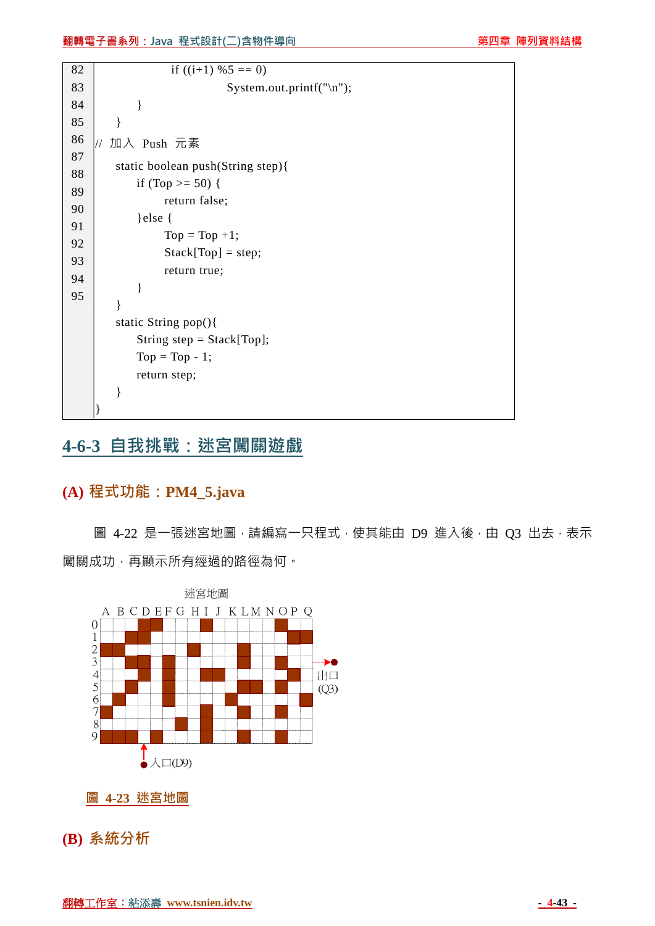```
82 
83 
84 
85 
86 
87 
88 
89 
90 
91 
92 
93 
94 
95 
                     if ((i+1) %5 == 0)
                                  System.out.printf("\n"); 
               } 
          } 
     // 加入 Push 元素
          static boolean push(String step){ 
             if (Top >= 50) {
                     return false; 
               }else { 
                    Top = Top +1;Stack[Top] = step; return true; 
               } 
          } 
          static String pop(){ 
              String step = Stack[Top]; 
             Top = Top - 1; return step; 
          } 
     }
```
## **4-6-3 自我挑戰:迷宮闖關遊戲**

## **(A) 程式功能:PM4\_5.java**

圖 4-22 是一張迷宮地圖,請編寫一只程式,使其能由 D9 進入後,由 Q3 出去,表示 闖關成功,再顯示所有經過的路徑為何。



**圖 4-23 迷宮地圖**

**(B) 系統分析**